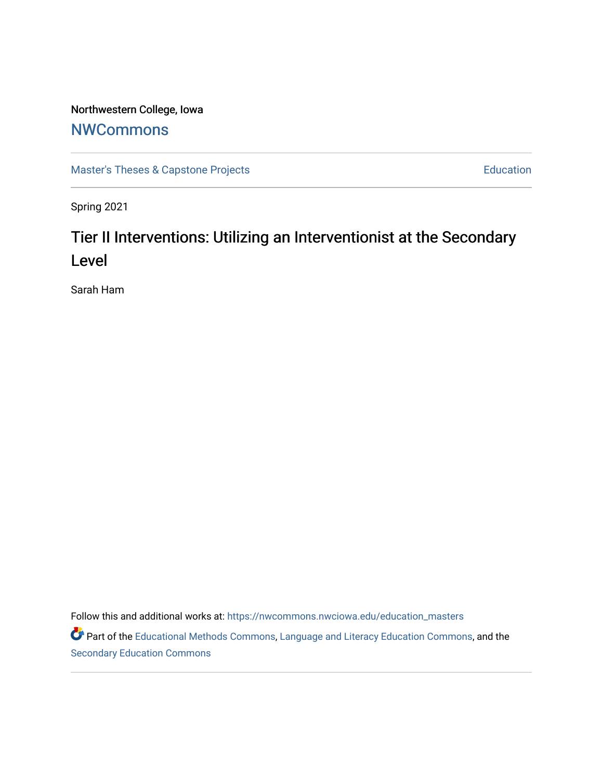# Northwestern College, Iowa

# **[NWCommons](https://nwcommons.nwciowa.edu/)**

[Master's Theses & Capstone Projects](https://nwcommons.nwciowa.edu/education_masters) **Education** Education

Spring 2021

# Tier II Interventions: Utilizing an Interventionist at the Secondary Level

Sarah Ham

Follow this and additional works at: [https://nwcommons.nwciowa.edu/education\\_masters](https://nwcommons.nwciowa.edu/education_masters?utm_source=nwcommons.nwciowa.edu%2Feducation_masters%2F287&utm_medium=PDF&utm_campaign=PDFCoverPages)

Part of the [Educational Methods Commons,](http://network.bepress.com/hgg/discipline/1227?utm_source=nwcommons.nwciowa.edu%2Feducation_masters%2F287&utm_medium=PDF&utm_campaign=PDFCoverPages) [Language and Literacy Education Commons,](http://network.bepress.com/hgg/discipline/1380?utm_source=nwcommons.nwciowa.edu%2Feducation_masters%2F287&utm_medium=PDF&utm_campaign=PDFCoverPages) and the [Secondary Education Commons](http://network.bepress.com/hgg/discipline/1382?utm_source=nwcommons.nwciowa.edu%2Feducation_masters%2F287&utm_medium=PDF&utm_campaign=PDFCoverPages)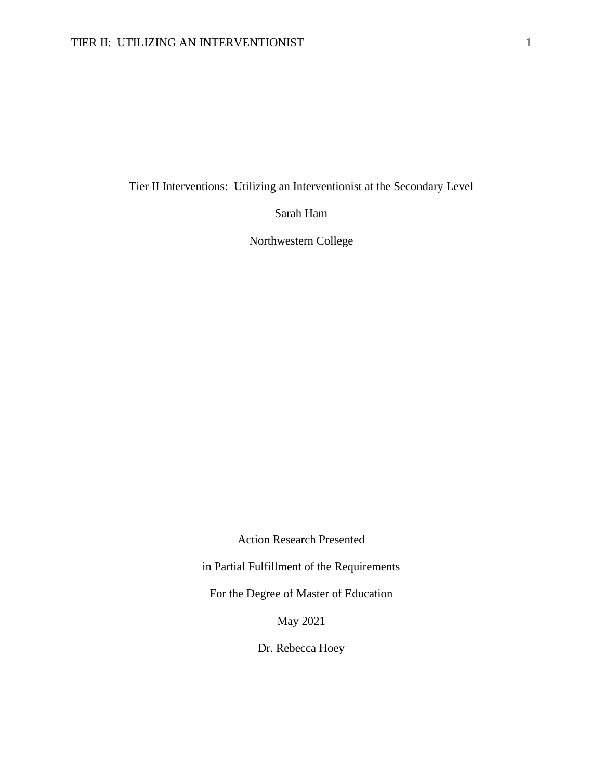Tier II Interventions: Utilizing an Interventionist at the Secondary Level

Sarah Ham

Northwestern College

Action Research Presented

in Partial Fulfillment of the Requirements

For the Degree of Master of Education

May 2021

Dr. Rebecca Hoey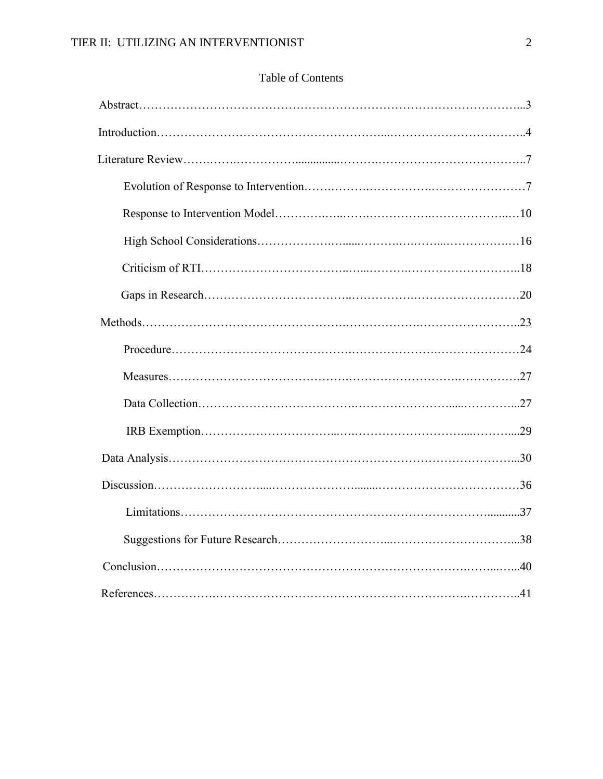## Table of Contents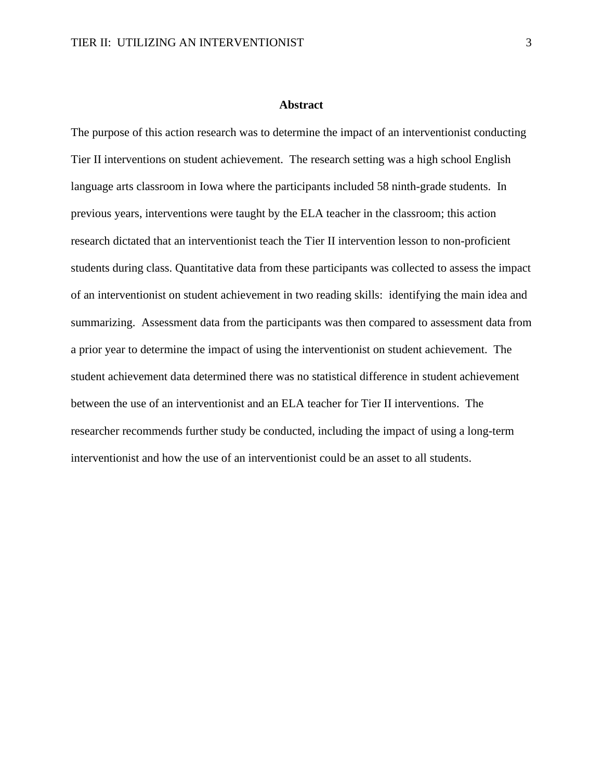#### **Abstract**

The purpose of this action research was to determine the impact of an interventionist conducting Tier II interventions on student achievement. The research setting was a high school English language arts classroom in Iowa where the participants included 58 ninth-grade students. In previous years, interventions were taught by the ELA teacher in the classroom; this action research dictated that an interventionist teach the Tier II intervention lesson to non-proficient students during class. Quantitative data from these participants was collected to assess the impact of an interventionist on student achievement in two reading skills: identifying the main idea and summarizing. Assessment data from the participants was then compared to assessment data from a prior year to determine the impact of using the interventionist on student achievement. The student achievement data determined there was no statistical difference in student achievement between the use of an interventionist and an ELA teacher for Tier II interventions. The researcher recommends further study be conducted, including the impact of using a long-term interventionist and how the use of an interventionist could be an asset to all students.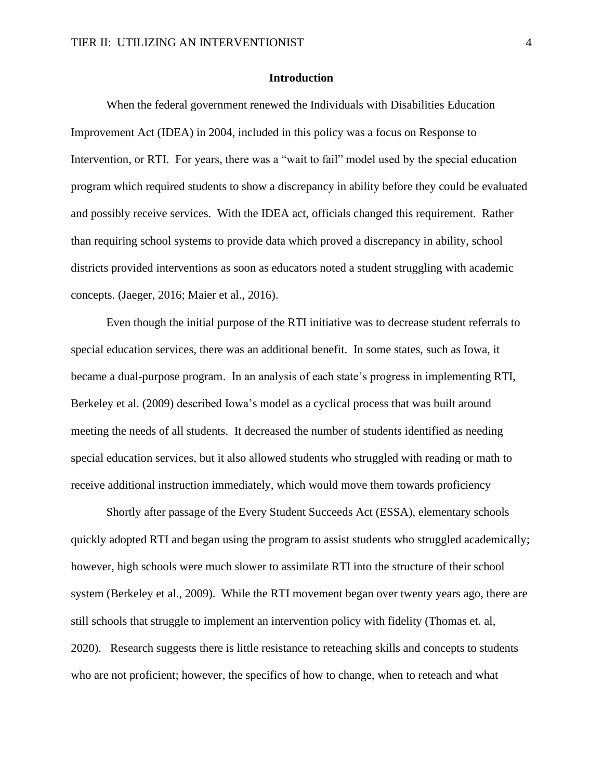#### **Introduction**

When the federal government renewed the Individuals with Disabilities Education Improvement Act (IDEA) in 2004, included in this policy was a focus on Response to Intervention, or RTI. For years, there was a "wait to fail" model used by the special education program which required students to show a discrepancy in ability before they could be evaluated and possibly receive services. With the IDEA act, officials changed this requirement. Rather than requiring school systems to provide data which proved a discrepancy in ability, school districts provided interventions as soon as educators noted a student struggling with academic concepts. (Jaeger, 2016; Maier et al., 2016).

Even though the initial purpose of the RTI initiative was to decrease student referrals to special education services, there was an additional benefit. In some states, such as Iowa, it became a dual-purpose program. In an analysis of each state's progress in implementing RTI, Berkeley et al. (2009) described Iowa's model as a cyclical process that was built around meeting the needs of all students. It decreased the number of students identified as needing special education services, but it also allowed students who struggled with reading or math to receive additional instruction immediately, which would move them towards proficiency

Shortly after passage of the Every Student Succeeds Act (ESSA), elementary schools quickly adopted RTI and began using the program to assist students who struggled academically; however, high schools were much slower to assimilate RTI into the structure of their school system (Berkeley et al., 2009). While the RTI movement began over twenty years ago, there are still schools that struggle to implement an intervention policy with fidelity (Thomas et. al, 2020). Research suggests there is little resistance to reteaching skills and concepts to students who are not proficient; however, the specifics of how to change, when to reteach and what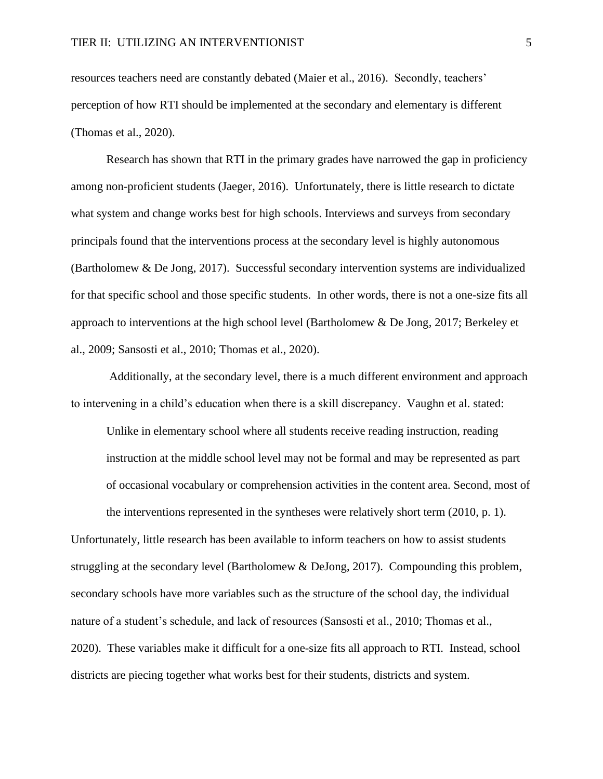resources teachers need are constantly debated (Maier et al., 2016). Secondly, teachers' perception of how RTI should be implemented at the secondary and elementary is different (Thomas et al., 2020).

Research has shown that RTI in the primary grades have narrowed the gap in proficiency among non-proficient students (Jaeger, 2016). Unfortunately, there is little research to dictate what system and change works best for high schools. Interviews and surveys from secondary principals found that the interventions process at the secondary level is highly autonomous (Bartholomew & De Jong, 2017). Successful secondary intervention systems are individualized for that specific school and those specific students. In other words, there is not a one-size fits all approach to interventions at the high school level (Bartholomew & De Jong, 2017; Berkeley et al., 2009; Sansosti et al., 2010; Thomas et al., 2020).

Additionally, at the secondary level, there is a much different environment and approach to intervening in a child's education when there is a skill discrepancy. Vaughn et al. stated:

Unlike in elementary school where all students receive reading instruction, reading instruction at the middle school level may not be formal and may be represented as part of occasional vocabulary or comprehension activities in the content area. Second, most of the interventions represented in the syntheses were relatively short term (2010, p. 1).

Unfortunately, little research has been available to inform teachers on how to assist students struggling at the secondary level (Bartholomew & DeJong, 2017). Compounding this problem, secondary schools have more variables such as the structure of the school day, the individual nature of a student's schedule, and lack of resources (Sansosti et al., 2010; Thomas et al., 2020). These variables make it difficult for a one-size fits all approach to RTI. Instead, school districts are piecing together what works best for their students, districts and system.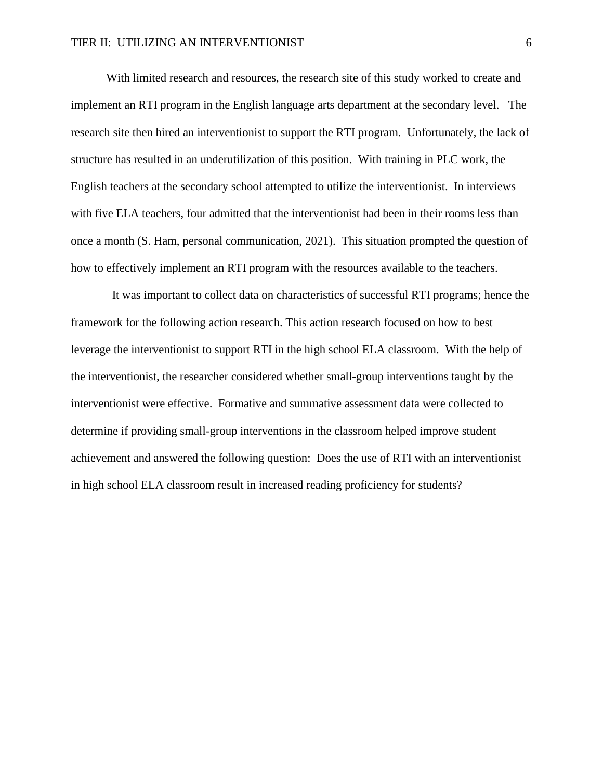With limited research and resources, the research site of this study worked to create and implement an RTI program in the English language arts department at the secondary level. The research site then hired an interventionist to support the RTI program. Unfortunately, the lack of structure has resulted in an underutilization of this position. With training in PLC work, the English teachers at the secondary school attempted to utilize the interventionist. In interviews with five ELA teachers, four admitted that the interventionist had been in their rooms less than once a month (S. Ham, personal communication, 2021). This situation prompted the question of how to effectively implement an RTI program with the resources available to the teachers.

It was important to collect data on characteristics of successful RTI programs; hence the framework for the following action research. This action research focused on how to best leverage the interventionist to support RTI in the high school ELA classroom. With the help of the interventionist, the researcher considered whether small-group interventions taught by the interventionist were effective. Formative and summative assessment data were collected to determine if providing small-group interventions in the classroom helped improve student achievement and answered the following question: Does the use of RTI with an interventionist in high school ELA classroom result in increased reading proficiency for students?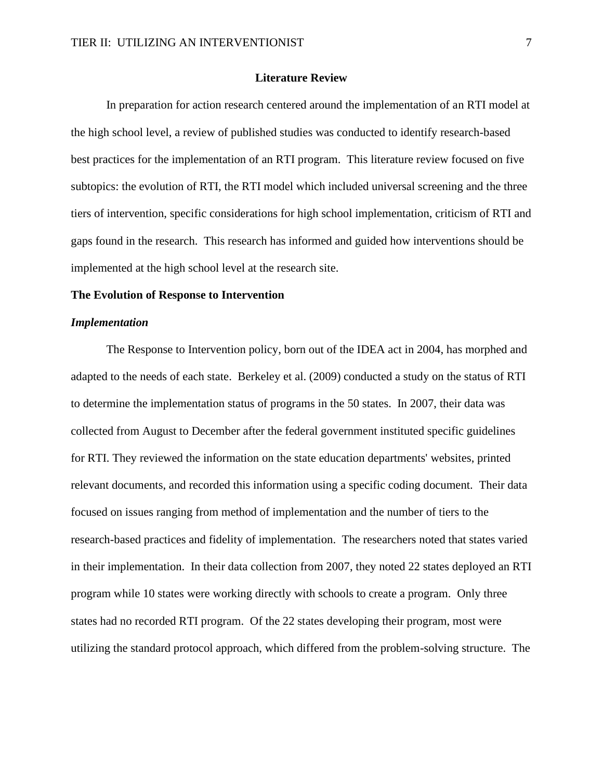## **Literature Review**

In preparation for action research centered around the implementation of an RTI model at the high school level, a review of published studies was conducted to identify research-based best practices for the implementation of an RTI program. This literature review focused on five subtopics: the evolution of RTI, the RTI model which included universal screening and the three tiers of intervention, specific considerations for high school implementation, criticism of RTI and gaps found in the research. This research has informed and guided how interventions should be implemented at the high school level at the research site.

## **The Evolution of Response to Intervention**

## *Implementation*

The Response to Intervention policy, born out of the IDEA act in 2004, has morphed and adapted to the needs of each state. Berkeley et al. (2009) conducted a study on the status of RTI to determine the implementation status of programs in the 50 states. In 2007, their data was collected from August to December after the federal government instituted specific guidelines for RTI. They reviewed the information on the state education departments' websites, printed relevant documents, and recorded this information using a specific coding document. Their data focused on issues ranging from method of implementation and the number of tiers to the research-based practices and fidelity of implementation. The researchers noted that states varied in their implementation. In their data collection from 2007, they noted 22 states deployed an RTI program while 10 states were working directly with schools to create a program. Only three states had no recorded RTI program. Of the 22 states developing their program, most were utilizing the standard protocol approach, which differed from the problem-solving structure. The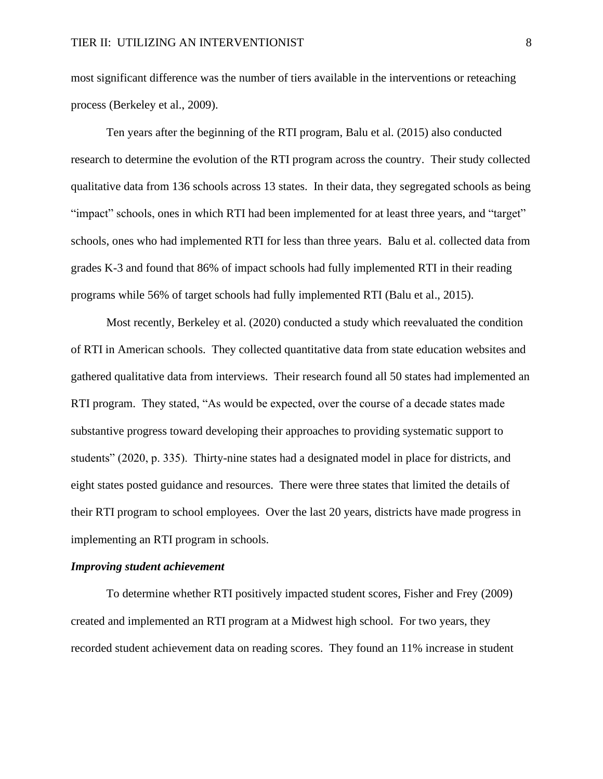most significant difference was the number of tiers available in the interventions or reteaching process (Berkeley et al., 2009).

Ten years after the beginning of the RTI program, Balu et al. (2015) also conducted research to determine the evolution of the RTI program across the country. Their study collected qualitative data from 136 schools across 13 states. In their data, they segregated schools as being "impact" schools, ones in which RTI had been implemented for at least three years, and "target" schools, ones who had implemented RTI for less than three years. Balu et al. collected data from grades K-3 and found that 86% of impact schools had fully implemented RTI in their reading programs while 56% of target schools had fully implemented RTI (Balu et al., 2015).

Most recently, Berkeley et al. (2020) conducted a study which reevaluated the condition of RTI in American schools. They collected quantitative data from state education websites and gathered qualitative data from interviews. Their research found all 50 states had implemented an RTI program. They stated, "As would be expected, over the course of a decade states made substantive progress toward developing their approaches to providing systematic support to students" (2020, p. 335). Thirty-nine states had a designated model in place for districts, and eight states posted guidance and resources. There were three states that limited the details of their RTI program to school employees. Over the last 20 years, districts have made progress in implementing an RTI program in schools.

#### *Improving student achievement*

To determine whether RTI positively impacted student scores, Fisher and Frey (2009) created and implemented an RTI program at a Midwest high school. For two years, they recorded student achievement data on reading scores. They found an 11% increase in student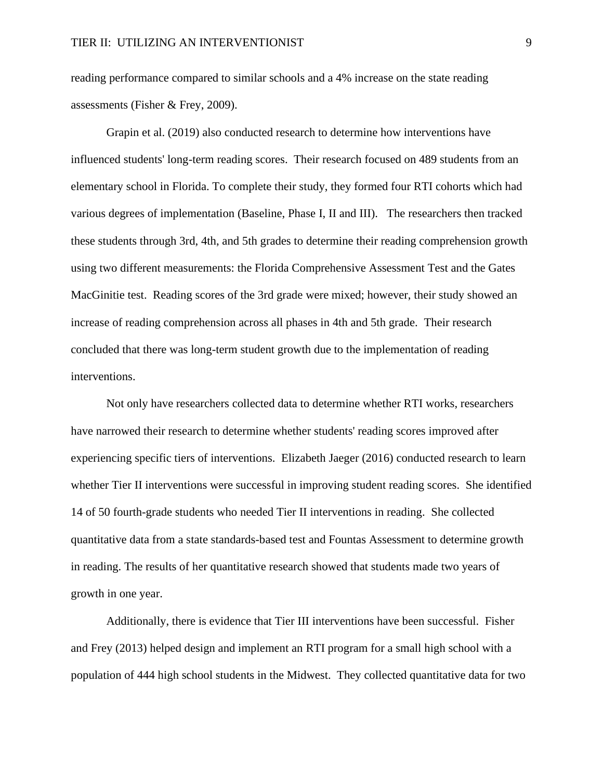reading performance compared to similar schools and a 4% increase on the state reading assessments (Fisher & Frey, 2009).

Grapin et al. (2019) also conducted research to determine how interventions have influenced students' long-term reading scores. Their research focused on 489 students from an elementary school in Florida. To complete their study, they formed four RTI cohorts which had various degrees of implementation (Baseline, Phase I, II and III). The researchers then tracked these students through 3rd, 4th, and 5th grades to determine their reading comprehension growth using two different measurements: the Florida Comprehensive Assessment Test and the Gates MacGinitie test. Reading scores of the 3rd grade were mixed; however, their study showed an increase of reading comprehension across all phases in 4th and 5th grade. Their research concluded that there was long-term student growth due to the implementation of reading interventions.

Not only have researchers collected data to determine whether RTI works, researchers have narrowed their research to determine whether students' reading scores improved after experiencing specific tiers of interventions. Elizabeth Jaeger (2016) conducted research to learn whether Tier II interventions were successful in improving student reading scores. She identified 14 of 50 fourth-grade students who needed Tier II interventions in reading. She collected quantitative data from a state standards-based test and Fountas Assessment to determine growth in reading. The results of her quantitative research showed that students made two years of growth in one year.

Additionally, there is evidence that Tier III interventions have been successful. Fisher and Frey (2013) helped design and implement an RTI program for a small high school with a population of 444 high school students in the Midwest. They collected quantitative data for two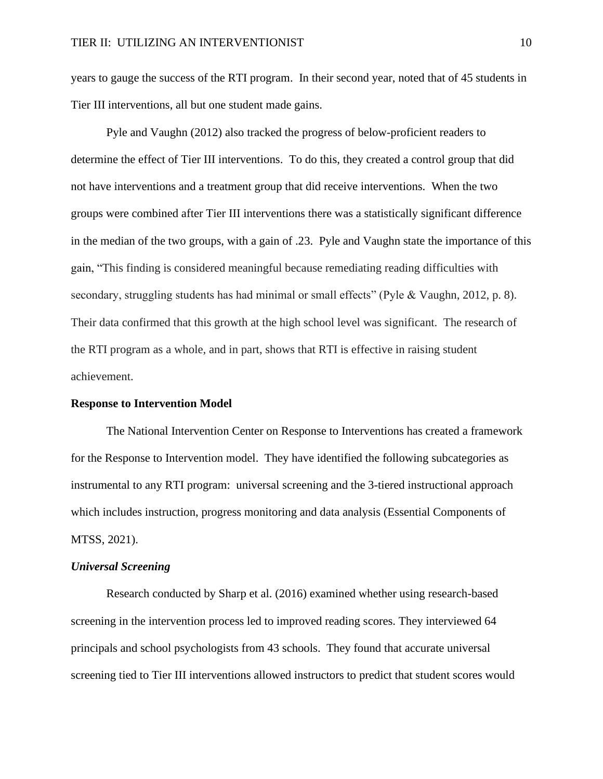years to gauge the success of the RTI program. In their second year, noted that of 45 students in Tier III interventions, all but one student made gains.

Pyle and Vaughn (2012) also tracked the progress of below-proficient readers to determine the effect of Tier III interventions. To do this, they created a control group that did not have interventions and a treatment group that did receive interventions. When the two groups were combined after Tier III interventions there was a statistically significant difference in the median of the two groups, with a gain of .23. Pyle and Vaughn state the importance of this gain, "This finding is considered meaningful because remediating reading difficulties with secondary, struggling students has had minimal or small effects" (Pyle & Vaughn, 2012, p. 8). Their data confirmed that this growth at the high school level was significant. The research of the RTI program as a whole, and in part, shows that RTI is effective in raising student achievement.

## **Response to Intervention Model**

The National Intervention Center on Response to Interventions has created a framework for the Response to Intervention model. They have identified the following subcategories as instrumental to any RTI program: universal screening and the 3-tiered instructional approach which includes instruction, progress monitoring and data analysis (Essential Components of MTSS, 2021).

#### *Universal Screening*

Research conducted by Sharp et al. (2016) examined whether using research-based screening in the intervention process led to improved reading scores. They interviewed 64 principals and school psychologists from 43 schools. They found that accurate universal screening tied to Tier III interventions allowed instructors to predict that student scores would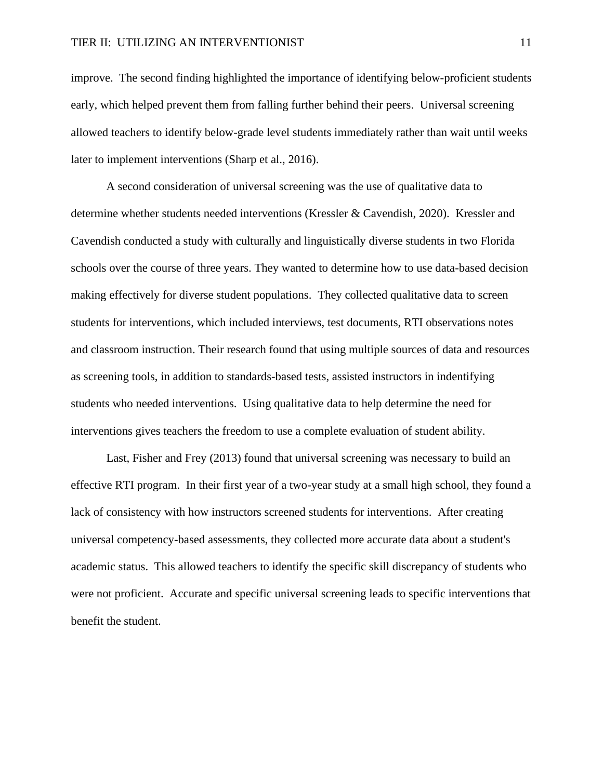improve. The second finding highlighted the importance of identifying below-proficient students early, which helped prevent them from falling further behind their peers. Universal screening allowed teachers to identify below-grade level students immediately rather than wait until weeks later to implement interventions (Sharp et al., 2016).

A second consideration of universal screening was the use of qualitative data to determine whether students needed interventions (Kressler & Cavendish, 2020). Kressler and Cavendish conducted a study with culturally and linguistically diverse students in two Florida schools over the course of three years. They wanted to determine how to use data-based decision making effectively for diverse student populations. They collected qualitative data to screen students for interventions, which included interviews, test documents, RTI observations notes and classroom instruction. Their research found that using multiple sources of data and resources as screening tools, in addition to standards-based tests, assisted instructors in indentifying students who needed interventions. Using qualitative data to help determine the need for interventions gives teachers the freedom to use a complete evaluation of student ability.

Last, Fisher and Frey (2013) found that universal screening was necessary to build an effective RTI program. In their first year of a two-year study at a small high school, they found a lack of consistency with how instructors screened students for interventions. After creating universal competency-based assessments, they collected more accurate data about a student's academic status. This allowed teachers to identify the specific skill discrepancy of students who were not proficient. Accurate and specific universal screening leads to specific interventions that benefit the student.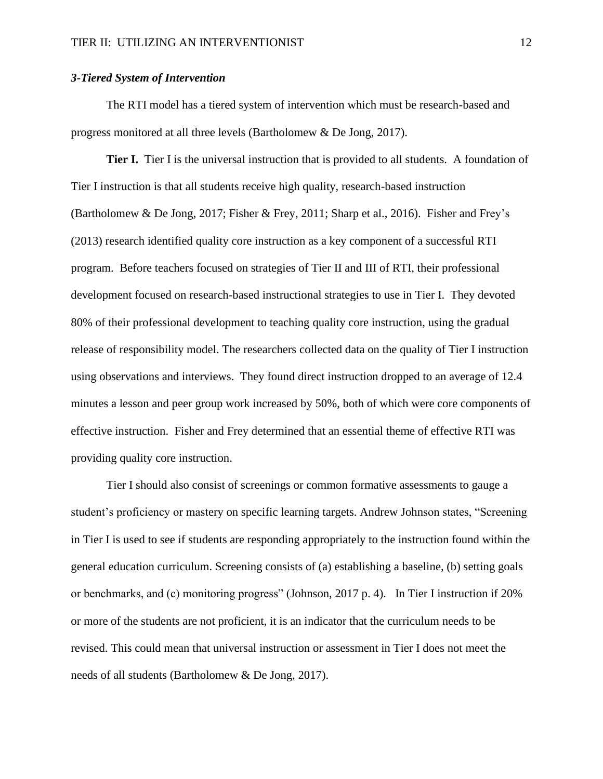## *3-Tiered System of Intervention*

The RTI model has a tiered system of intervention which must be research-based and progress monitored at all three levels (Bartholomew & De Jong, 2017).

**Tier I.** Tier I is the universal instruction that is provided to all students. A foundation of Tier I instruction is that all students receive high quality, research-based instruction (Bartholomew & De Jong, 2017; Fisher & Frey, 2011; Sharp et al., 2016). Fisher and Frey's (2013) research identified quality core instruction as a key component of a successful RTI program. Before teachers focused on strategies of Tier II and III of RTI, their professional development focused on research-based instructional strategies to use in Tier I. They devoted 80% of their professional development to teaching quality core instruction, using the gradual release of responsibility model. The researchers collected data on the quality of Tier I instruction using observations and interviews. They found direct instruction dropped to an average of 12.4 minutes a lesson and peer group work increased by 50%, both of which were core components of effective instruction. Fisher and Frey determined that an essential theme of effective RTI was providing quality core instruction.

Tier I should also consist of screenings or common formative assessments to gauge a student's proficiency or mastery on specific learning targets. Andrew Johnson states, "Screening in Tier I is used to see if students are responding appropriately to the instruction found within the general education curriculum. Screening consists of (a) establishing a baseline, (b) setting goals or benchmarks, and (c) monitoring progress" (Johnson, 2017 p. 4). In Tier I instruction if 20% or more of the students are not proficient, it is an indicator that the curriculum needs to be revised. This could mean that universal instruction or assessment in Tier I does not meet the needs of all students (Bartholomew & De Jong, 2017).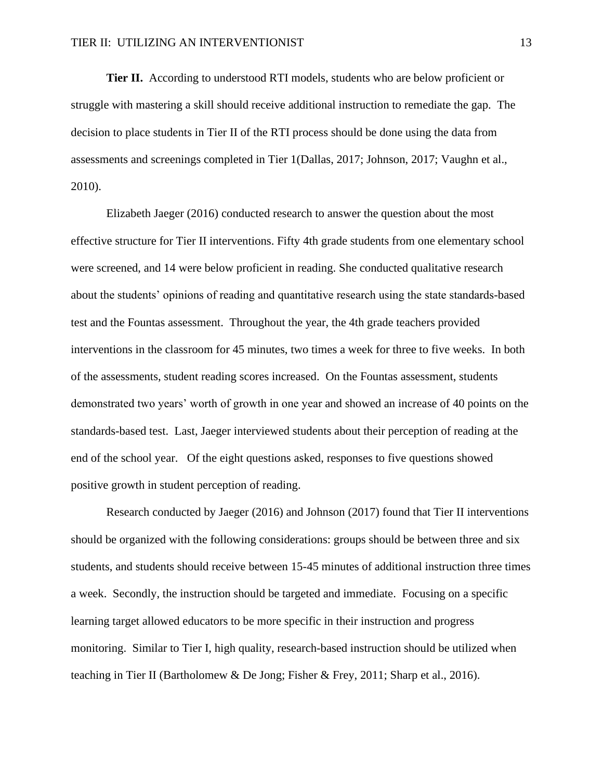**Tier II.** According to understood RTI models, students who are below proficient or struggle with mastering a skill should receive additional instruction to remediate the gap. The decision to place students in Tier II of the RTI process should be done using the data from assessments and screenings completed in Tier 1(Dallas, 2017; Johnson, 2017; Vaughn et al., 2010).

Elizabeth Jaeger (2016) conducted research to answer the question about the most effective structure for Tier II interventions. Fifty 4th grade students from one elementary school were screened, and 14 were below proficient in reading. She conducted qualitative research about the students' opinions of reading and quantitative research using the state standards-based test and the Fountas assessment. Throughout the year, the 4th grade teachers provided interventions in the classroom for 45 minutes, two times a week for three to five weeks. In both of the assessments, student reading scores increased. On the Fountas assessment, students demonstrated two years' worth of growth in one year and showed an increase of 40 points on the standards-based test. Last, Jaeger interviewed students about their perception of reading at the end of the school year. Of the eight questions asked, responses to five questions showed positive growth in student perception of reading.

Research conducted by Jaeger (2016) and Johnson (2017) found that Tier II interventions should be organized with the following considerations: groups should be between three and six students, and students should receive between 15-45 minutes of additional instruction three times a week. Secondly, the instruction should be targeted and immediate. Focusing on a specific learning target allowed educators to be more specific in their instruction and progress monitoring. Similar to Tier I, high quality, research-based instruction should be utilized when teaching in Tier II (Bartholomew & De Jong; Fisher & Frey, 2011; Sharp et al., 2016).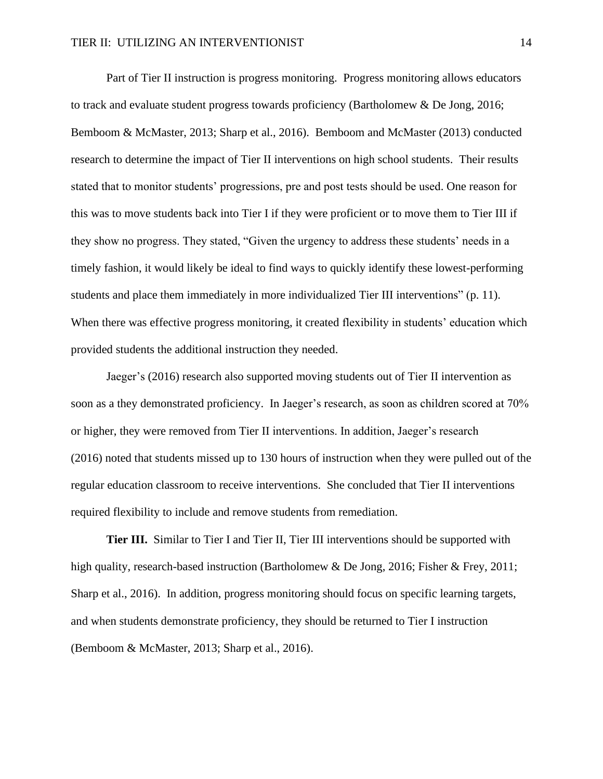Part of Tier II instruction is progress monitoring. Progress monitoring allows educators to track and evaluate student progress towards proficiency (Bartholomew & De Jong, 2016; Bemboom & McMaster, 2013; Sharp et al., 2016). Bemboom and McMaster (2013) conducted research to determine the impact of Tier II interventions on high school students. Their results stated that to monitor students' progressions, pre and post tests should be used. One reason for this was to move students back into Tier I if they were proficient or to move them to Tier III if they show no progress. They stated, "Given the urgency to address these students' needs in a timely fashion, it would likely be ideal to find ways to quickly identify these lowest-performing students and place them immediately in more individualized Tier III interventions" (p. 11). When there was effective progress monitoring, it created flexibility in students' education which provided students the additional instruction they needed.

Jaeger's (2016) research also supported moving students out of Tier II intervention as soon as a they demonstrated proficiency. In Jaeger's research, as soon as children scored at 70% or higher, they were removed from Tier II interventions. In addition, Jaeger's research (2016) noted that students missed up to 130 hours of instruction when they were pulled out of the regular education classroom to receive interventions. She concluded that Tier II interventions required flexibility to include and remove students from remediation.

**Tier III.** Similar to Tier I and Tier II, Tier III interventions should be supported with high quality, research-based instruction (Bartholomew & De Jong, 2016; Fisher & Frey, 2011; Sharp et al., 2016). In addition, progress monitoring should focus on specific learning targets, and when students demonstrate proficiency, they should be returned to Tier I instruction (Bemboom & McMaster, 2013; Sharp et al., 2016).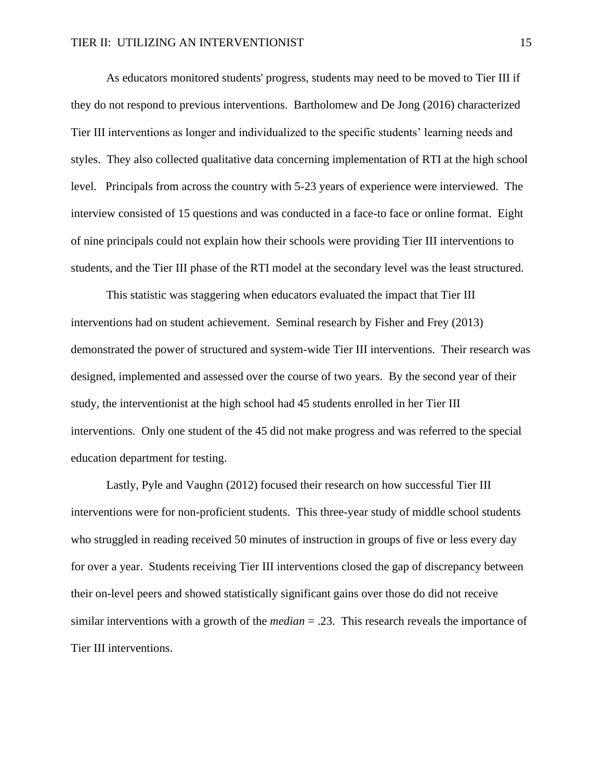As educators monitored students' progress, students may need to be moved to Tier III if they do not respond to previous interventions. Bartholomew and De Jong (2016) characterized Tier III interventions as longer and individualized to the specific students' learning needs and styles. They also collected qualitative data concerning implementation of RTI at the high school level. Principals from across the country with 5-23 years of experience were interviewed. The interview consisted of 15 questions and was conducted in a face-to face or online format. Eight of nine principals could not explain how their schools were providing Tier III interventions to students, and the Tier III phase of the RTI model at the secondary level was the least structured.

This statistic was staggering when educators evaluated the impact that Tier III interventions had on student achievement. Seminal research by Fisher and Frey (2013) demonstrated the power of structured and system-wide Tier III interventions. Their research was designed, implemented and assessed over the course of two years. By the second year of their study, the interventionist at the high school had 45 students enrolled in her Tier III interventions. Only one student of the 45 did not make progress and was referred to the special education department for testing.

Lastly, Pyle and Vaughn (2012) focused their research on how successful Tier III interventions were for non-proficient students. This three-year study of middle school students who struggled in reading received 50 minutes of instruction in groups of five or less every day for over a year. Students receiving Tier III interventions closed the gap of discrepancy between their on-level peers and showed statistically significant gains over those do did not receive similar interventions with a growth of the *median* = .23. This research reveals the importance of Tier III interventions.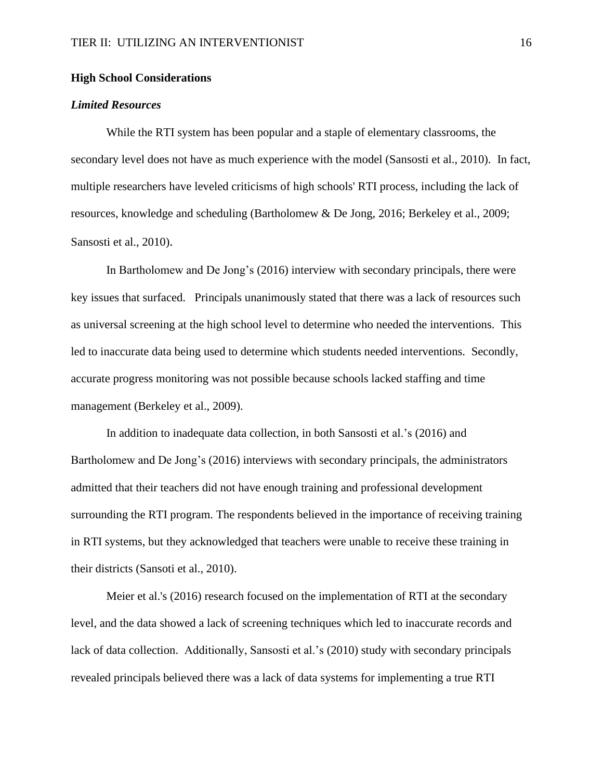## **High School Considerations**

## *Limited Resources*

While the RTI system has been popular and a staple of elementary classrooms, the secondary level does not have as much experience with the model (Sansosti et al., 2010). In fact, multiple researchers have leveled criticisms of high schools' RTI process, including the lack of resources, knowledge and scheduling (Bartholomew & De Jong, 2016; Berkeley et al., 2009; Sansosti et al., 2010).

In Bartholomew and De Jong's (2016) interview with secondary principals, there were key issues that surfaced. Principals unanimously stated that there was a lack of resources such as universal screening at the high school level to determine who needed the interventions. This led to inaccurate data being used to determine which students needed interventions. Secondly, accurate progress monitoring was not possible because schools lacked staffing and time management (Berkeley et al., 2009).

In addition to inadequate data collection, in both Sansosti et al.'s (2016) and Bartholomew and De Jong's (2016) interviews with secondary principals, the administrators admitted that their teachers did not have enough training and professional development surrounding the RTI program. The respondents believed in the importance of receiving training in RTI systems, but they acknowledged that teachers were unable to receive these training in their districts (Sansoti et al., 2010).

Meier et al.'s (2016) research focused on the implementation of RTI at the secondary level, and the data showed a lack of screening techniques which led to inaccurate records and lack of data collection. Additionally, Sansosti et al.'s (2010) study with secondary principals revealed principals believed there was a lack of data systems for implementing a true RTI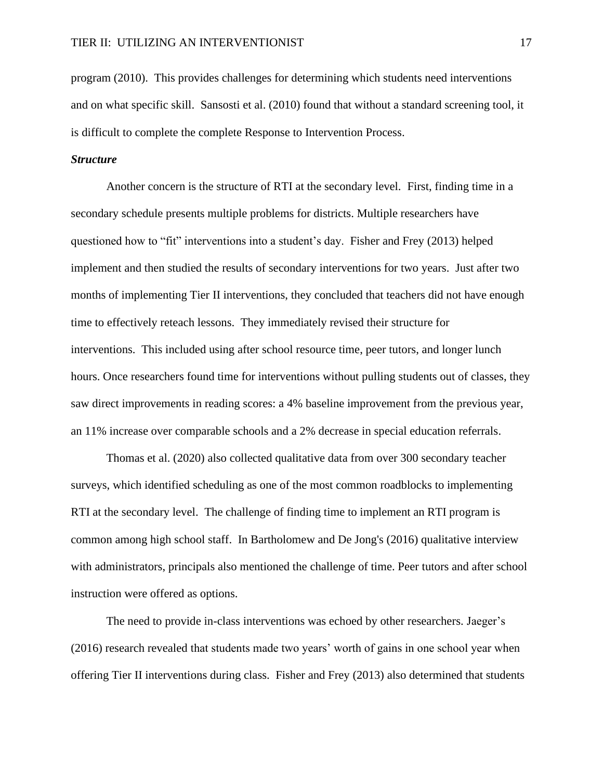program (2010). This provides challenges for determining which students need interventions and on what specific skill. Sansosti et al. (2010) found that without a standard screening tool, it is difficult to complete the complete Response to Intervention Process.

## *Structure*

Another concern is the structure of RTI at the secondary level. First, finding time in a secondary schedule presents multiple problems for districts. Multiple researchers have questioned how to "fit" interventions into a student's day. Fisher and Frey (2013) helped implement and then studied the results of secondary interventions for two years. Just after two months of implementing Tier II interventions, they concluded that teachers did not have enough time to effectively reteach lessons. They immediately revised their structure for interventions. This included using after school resource time, peer tutors, and longer lunch hours. Once researchers found time for interventions without pulling students out of classes, they saw direct improvements in reading scores: a 4% baseline improvement from the previous year, an 11% increase over comparable schools and a 2% decrease in special education referrals.

Thomas et al. (2020) also collected qualitative data from over 300 secondary teacher surveys, which identified scheduling as one of the most common roadblocks to implementing RTI at the secondary level. The challenge of finding time to implement an RTI program is common among high school staff. In Bartholomew and De Jong's (2016) qualitative interview with administrators, principals also mentioned the challenge of time. Peer tutors and after school instruction were offered as options.

The need to provide in-class interventions was echoed by other researchers. Jaeger's (2016) research revealed that students made two years' worth of gains in one school year when offering Tier II interventions during class. Fisher and Frey (2013) also determined that students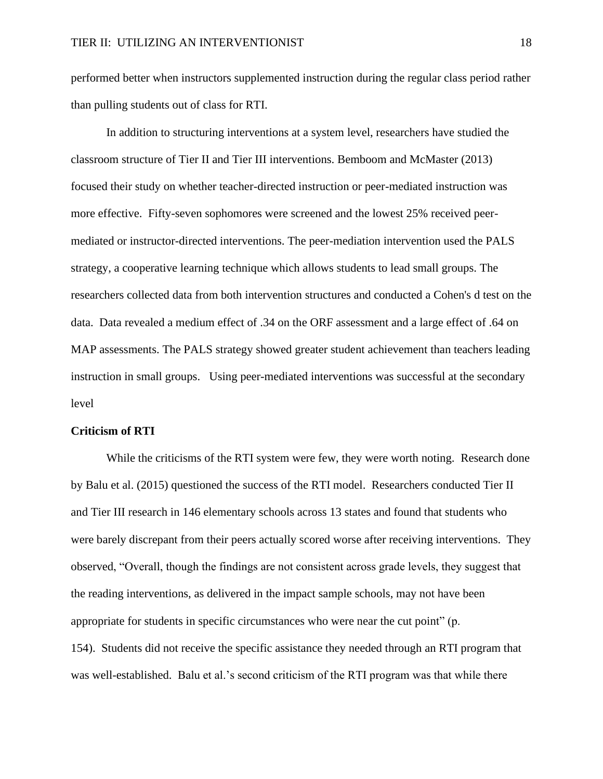performed better when instructors supplemented instruction during the regular class period rather than pulling students out of class for RTI.

In addition to structuring interventions at a system level, researchers have studied the classroom structure of Tier II and Tier III interventions. Bemboom and McMaster (2013) focused their study on whether teacher-directed instruction or peer-mediated instruction was more effective. Fifty-seven sophomores were screened and the lowest 25% received peermediated or instructor-directed interventions. The peer-mediation intervention used the PALS strategy, a cooperative learning technique which allows students to lead small groups. The researchers collected data from both intervention structures and conducted a Cohen's d test on the data. Data revealed a medium effect of .34 on the ORF assessment and a large effect of .64 on MAP assessments. The PALS strategy showed greater student achievement than teachers leading instruction in small groups. Using peer-mediated interventions was successful at the secondary level

#### **Criticism of RTI**

While the criticisms of the RTI system were few, they were worth noting. Research done by Balu et al. (2015) questioned the success of the RTI model. Researchers conducted Tier II and Tier III research in 146 elementary schools across 13 states and found that students who were barely discrepant from their peers actually scored worse after receiving interventions. They observed, "Overall, though the findings are not consistent across grade levels, they suggest that the reading interventions, as delivered in the impact sample schools, may not have been appropriate for students in specific circumstances who were near the cut point" (p. 154). Students did not receive the specific assistance they needed through an RTI program that was well-established. Balu et al.'s second criticism of the RTI program was that while there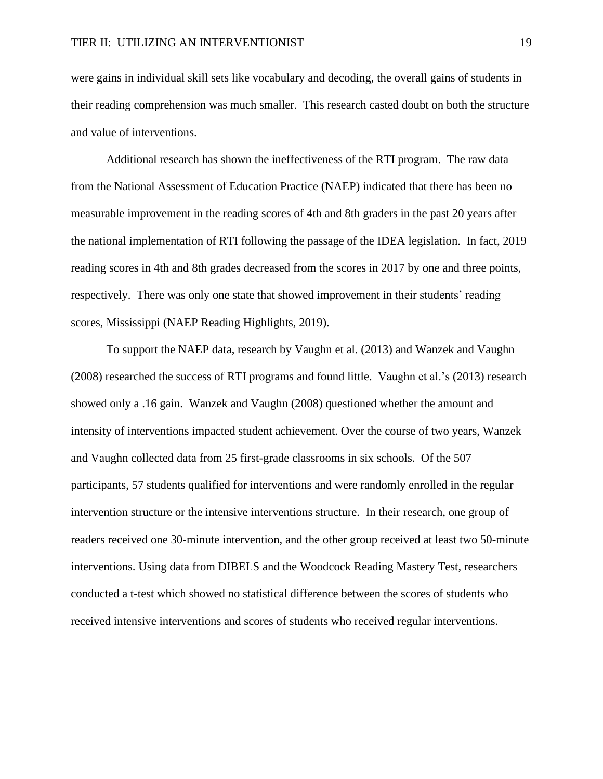were gains in individual skill sets like vocabulary and decoding, the overall gains of students in their reading comprehension was much smaller. This research casted doubt on both the structure and value of interventions.

Additional research has shown the ineffectiveness of the RTI program. The raw data from the National Assessment of Education Practice (NAEP) indicated that there has been no measurable improvement in the reading scores of 4th and 8th graders in the past 20 years after the national implementation of RTI following the passage of the IDEA legislation. In fact, 2019 reading scores in 4th and 8th grades decreased from the scores in 2017 by one and three points, respectively. There was only one state that showed improvement in their students' reading scores, Mississippi (NAEP Reading Highlights, 2019).

To support the NAEP data, research by Vaughn et al. (2013) and Wanzek and Vaughn (2008) researched the success of RTI programs and found little. Vaughn et al.'s (2013) research showed only a .16 gain. Wanzek and Vaughn (2008) questioned whether the amount and intensity of interventions impacted student achievement. Over the course of two years, Wanzek and Vaughn collected data from 25 first-grade classrooms in six schools. Of the 507 participants, 57 students qualified for interventions and were randomly enrolled in the regular intervention structure or the intensive interventions structure. In their research, one group of readers received one 30-minute intervention, and the other group received at least two 50-minute interventions. Using data from DIBELS and the Woodcock Reading Mastery Test, researchers conducted a t-test which showed no statistical difference between the scores of students who received intensive interventions and scores of students who received regular interventions.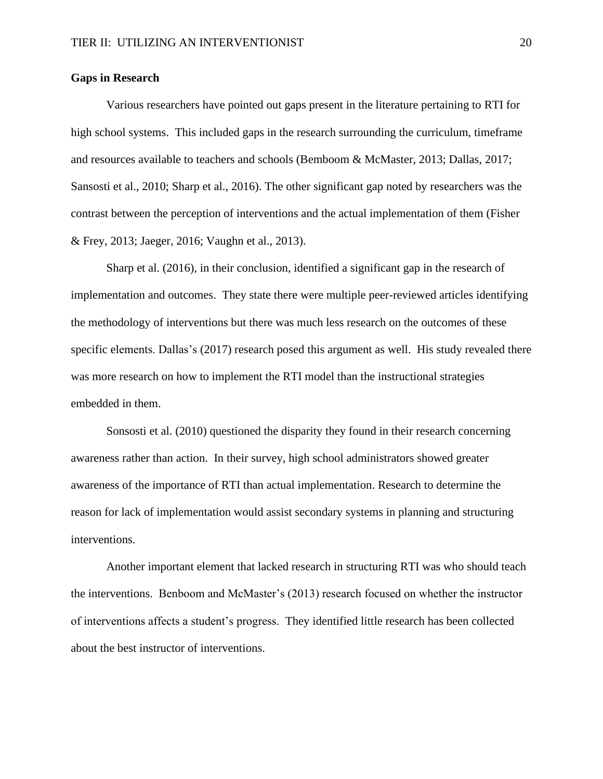## **Gaps in Research**

Various researchers have pointed out gaps present in the literature pertaining to RTI for high school systems. This included gaps in the research surrounding the curriculum, timeframe and resources available to teachers and schools (Bemboom & McMaster, 2013; Dallas, 2017; Sansosti et al., 2010; Sharp et al., 2016). The other significant gap noted by researchers was the contrast between the perception of interventions and the actual implementation of them (Fisher & Frey, 2013; Jaeger, 2016; Vaughn et al., 2013).

Sharp et al. (2016), in their conclusion, identified a significant gap in the research of implementation and outcomes. They state there were multiple peer-reviewed articles identifying the methodology of interventions but there was much less research on the outcomes of these specific elements. Dallas's (2017) research posed this argument as well. His study revealed there was more research on how to implement the RTI model than the instructional strategies embedded in them.

Sonsosti et al. (2010) questioned the disparity they found in their research concerning awareness rather than action. In their survey, high school administrators showed greater awareness of the importance of RTI than actual implementation. Research to determine the reason for lack of implementation would assist secondary systems in planning and structuring interventions.

Another important element that lacked research in structuring RTI was who should teach the interventions. Benboom and McMaster's (2013) research focused on whether the instructor of interventions affects a student's progress. They identified little research has been collected about the best instructor of interventions.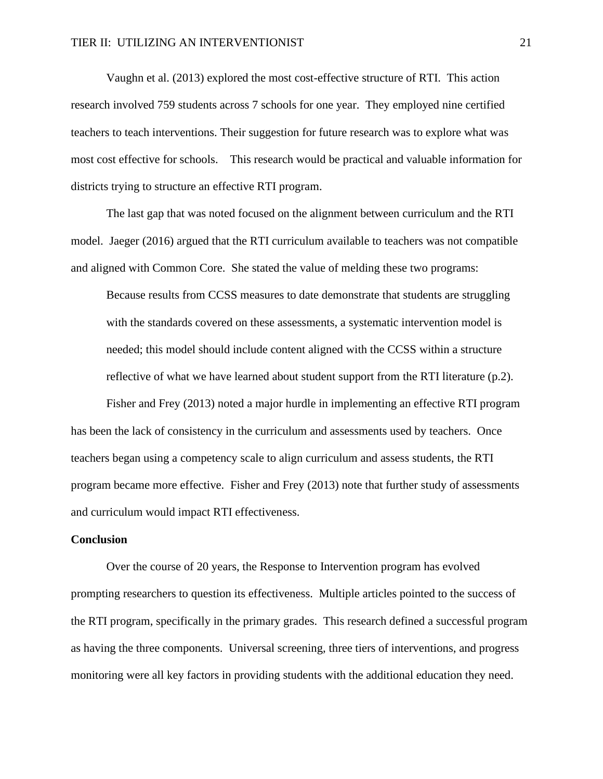Vaughn et al. (2013) explored the most cost-effective structure of RTI. This action research involved 759 students across 7 schools for one year. They employed nine certified teachers to teach interventions. Their suggestion for future research was to explore what was most cost effective for schools. This research would be practical and valuable information for districts trying to structure an effective RTI program.

The last gap that was noted focused on the alignment between curriculum and the RTI model. Jaeger (2016) argued that the RTI curriculum available to teachers was not compatible and aligned with Common Core. She stated the value of melding these two programs:

Because results from CCSS measures to date demonstrate that students are struggling with the standards covered on these assessments, a systematic intervention model is needed; this model should include content aligned with the CCSS within a structure reflective of what we have learned about student support from the RTI literature (p.2).

Fisher and Frey (2013) noted a major hurdle in implementing an effective RTI program has been the lack of consistency in the curriculum and assessments used by teachers. Once teachers began using a competency scale to align curriculum and assess students, the RTI program became more effective. Fisher and Frey (2013) note that further study of assessments and curriculum would impact RTI effectiveness.

## **Conclusion**

Over the course of 20 years, the Response to Intervention program has evolved prompting researchers to question its effectiveness. Multiple articles pointed to the success of the RTI program, specifically in the primary grades. This research defined a successful program as having the three components. Universal screening, three tiers of interventions, and progress monitoring were all key factors in providing students with the additional education they need.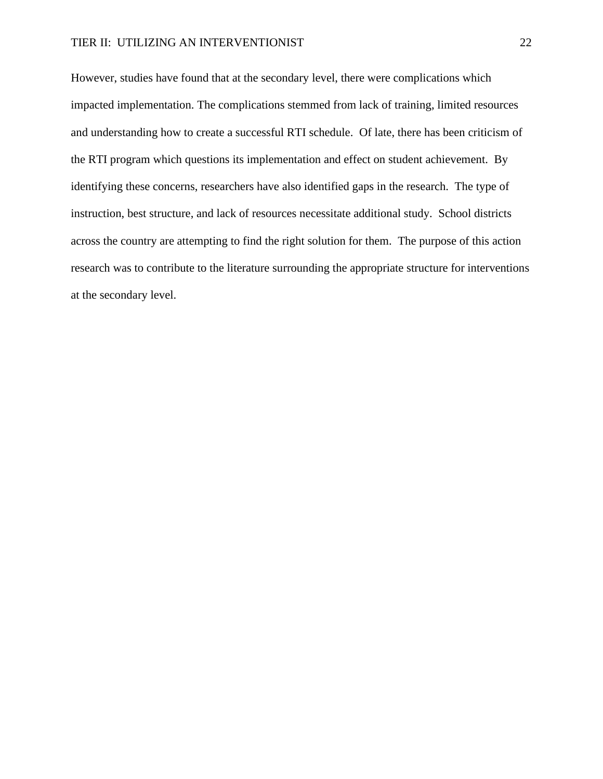However, studies have found that at the secondary level, there were complications which impacted implementation. The complications stemmed from lack of training, limited resources and understanding how to create a successful RTI schedule. Of late, there has been criticism of the RTI program which questions its implementation and effect on student achievement. By identifying these concerns, researchers have also identified gaps in the research. The type of instruction, best structure, and lack of resources necessitate additional study. School districts across the country are attempting to find the right solution for them. The purpose of this action research was to contribute to the literature surrounding the appropriate structure for interventions at the secondary level.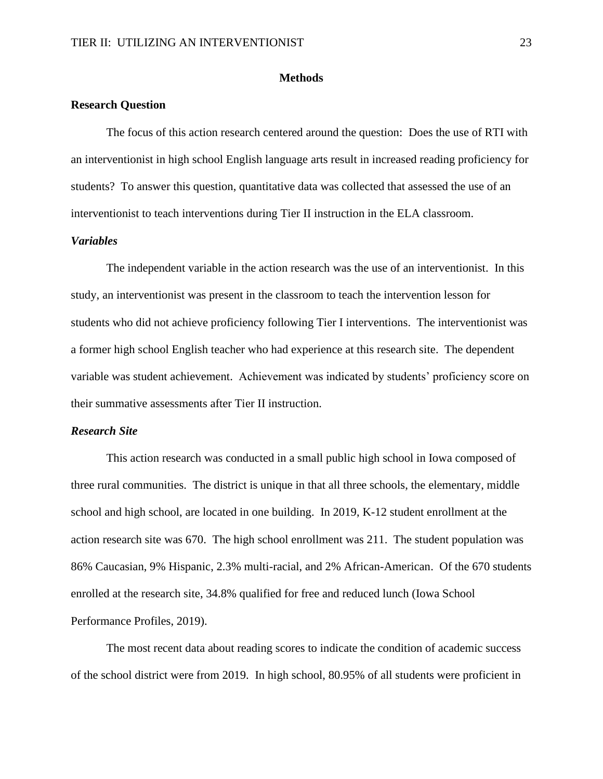## **Methods**

## **Research Question**

The focus of this action research centered around the question: Does the use of RTI with an interventionist in high school English language arts result in increased reading proficiency for students? To answer this question, quantitative data was collected that assessed the use of an interventionist to teach interventions during Tier II instruction in the ELA classroom.

## *Variables*

The independent variable in the action research was the use of an interventionist. In this study, an interventionist was present in the classroom to teach the intervention lesson for students who did not achieve proficiency following Tier I interventions. The interventionist was a former high school English teacher who had experience at this research site. The dependent variable was student achievement. Achievement was indicated by students' proficiency score on their summative assessments after Tier II instruction.

#### *Research Site*

This action research was conducted in a small public high school in Iowa composed of three rural communities. The district is unique in that all three schools, the elementary, middle school and high school, are located in one building. In 2019, K-12 student enrollment at the action research site was 670. The high school enrollment was 211. The student population was 86% Caucasian, 9% Hispanic, 2.3% multi-racial, and 2% African-American. Of the 670 students enrolled at the research site, 34.8% qualified for free and reduced lunch (Iowa School Performance Profiles, 2019).

The most recent data about reading scores to indicate the condition of academic success of the school district were from 2019. In high school, 80.95% of all students were proficient in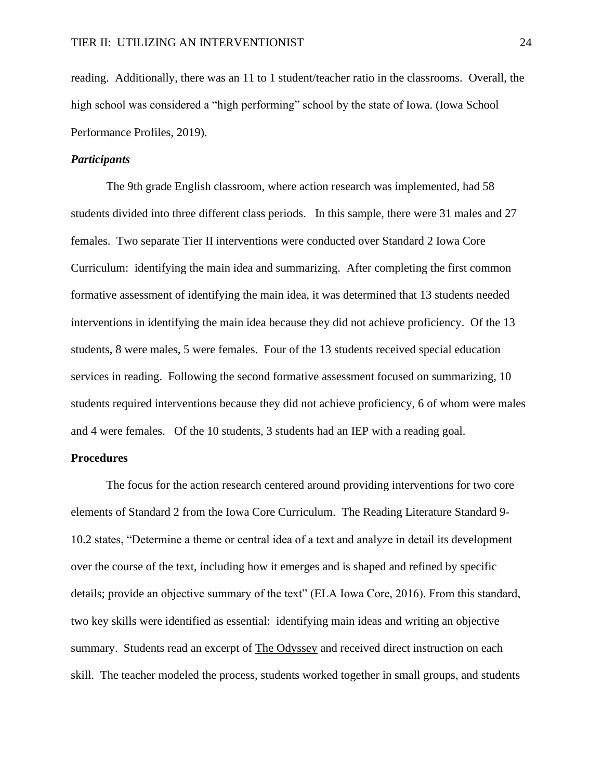reading. Additionally, there was an 11 to 1 student/teacher ratio in the classrooms. Overall, the high school was considered a "high performing" school by the state of Iowa. (Iowa School Performance Profiles, 2019).

## *Participants*

The 9th grade English classroom, where action research was implemented, had 58 students divided into three different class periods. In this sample, there were 31 males and 27 females. Two separate Tier II interventions were conducted over Standard 2 Iowa Core Curriculum: identifying the main idea and summarizing. After completing the first common formative assessment of identifying the main idea, it was determined that 13 students needed interventions in identifying the main idea because they did not achieve proficiency. Of the 13 students, 8 were males, 5 were females. Four of the 13 students received special education services in reading. Following the second formative assessment focused on summarizing, 10 students required interventions because they did not achieve proficiency, 6 of whom were males and 4 were females. Of the 10 students, 3 students had an IEP with a reading goal.

## **Procedures**

The focus for the action research centered around providing interventions for two core elements of Standard 2 from the Iowa Core Curriculum. The Reading Literature Standard 9- 10.2 states, "Determine a theme or central idea of a text and analyze in detail its development over the course of the text, including how it emerges and is shaped and refined by specific details; provide an objective summary of the text" (ELA Iowa Core, 2016). From this standard, two key skills were identified as essential: identifying main ideas and writing an objective summary. Students read an excerpt of The Odyssey and received direct instruction on each skill. The teacher modeled the process, students worked together in small groups, and students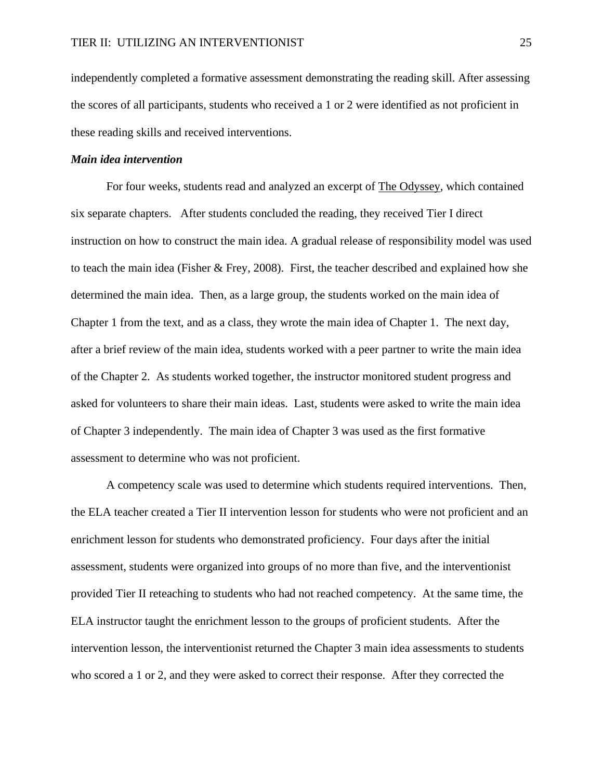independently completed a formative assessment demonstrating the reading skill. After assessing the scores of all participants, students who received a 1 or 2 were identified as not proficient in these reading skills and received interventions.

## *Main idea intervention*

For four weeks, students read and analyzed an excerpt of The Odyssey, which contained six separate chapters. After students concluded the reading, they received Tier I direct instruction on how to construct the main idea. A gradual release of responsibility model was used to teach the main idea (Fisher & Frey, 2008). First, the teacher described and explained how she determined the main idea. Then, as a large group, the students worked on the main idea of Chapter 1 from the text, and as a class, they wrote the main idea of Chapter 1. The next day, after a brief review of the main idea, students worked with a peer partner to write the main idea of the Chapter 2. As students worked together, the instructor monitored student progress and asked for volunteers to share their main ideas. Last, students were asked to write the main idea of Chapter 3 independently. The main idea of Chapter 3 was used as the first formative assessment to determine who was not proficient.

A competency scale was used to determine which students required interventions. Then, the ELA teacher created a Tier II intervention lesson for students who were not proficient and an enrichment lesson for students who demonstrated proficiency. Four days after the initial assessment, students were organized into groups of no more than five, and the interventionist provided Tier II reteaching to students who had not reached competency. At the same time, the ELA instructor taught the enrichment lesson to the groups of proficient students. After the intervention lesson, the interventionist returned the Chapter 3 main idea assessments to students who scored a 1 or 2, and they were asked to correct their response. After they corrected the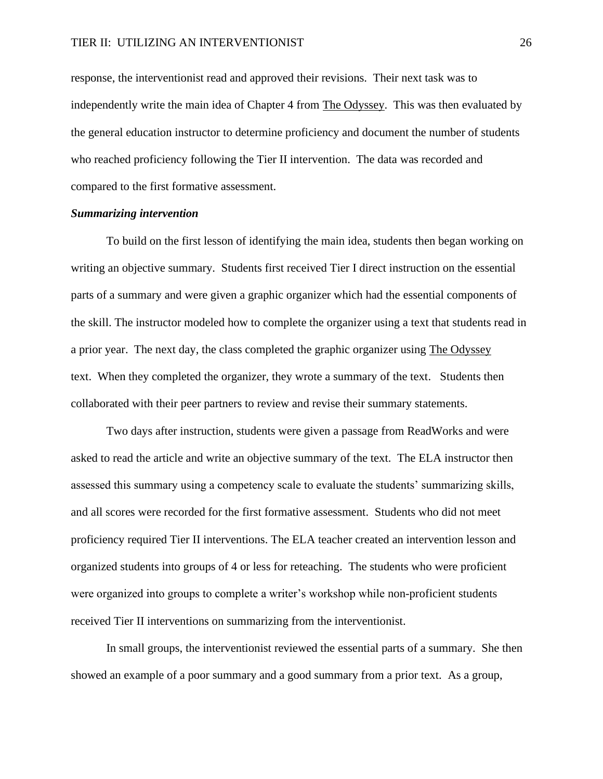response, the interventionist read and approved their revisions. Their next task was to independently write the main idea of Chapter 4 from The Odyssey. This was then evaluated by the general education instructor to determine proficiency and document the number of students who reached proficiency following the Tier II intervention. The data was recorded and compared to the first formative assessment.

## *Summarizing intervention*

To build on the first lesson of identifying the main idea, students then began working on writing an objective summary. Students first received Tier I direct instruction on the essential parts of a summary and were given a graphic organizer which had the essential components of the skill. The instructor modeled how to complete the organizer using a text that students read in a prior year. The next day, the class completed the graphic organizer using The Odyssey text. When they completed the organizer, they wrote a summary of the text. Students then collaborated with their peer partners to review and revise their summary statements.

Two days after instruction, students were given a passage from ReadWorks and were asked to read the article and write an objective summary of the text. The ELA instructor then assessed this summary using a competency scale to evaluate the students' summarizing skills, and all scores were recorded for the first formative assessment. Students who did not meet proficiency required Tier II interventions. The ELA teacher created an intervention lesson and organized students into groups of 4 or less for reteaching. The students who were proficient were organized into groups to complete a writer's workshop while non-proficient students received Tier II interventions on summarizing from the interventionist.

In small groups, the interventionist reviewed the essential parts of a summary. She then showed an example of a poor summary and a good summary from a prior text. As a group,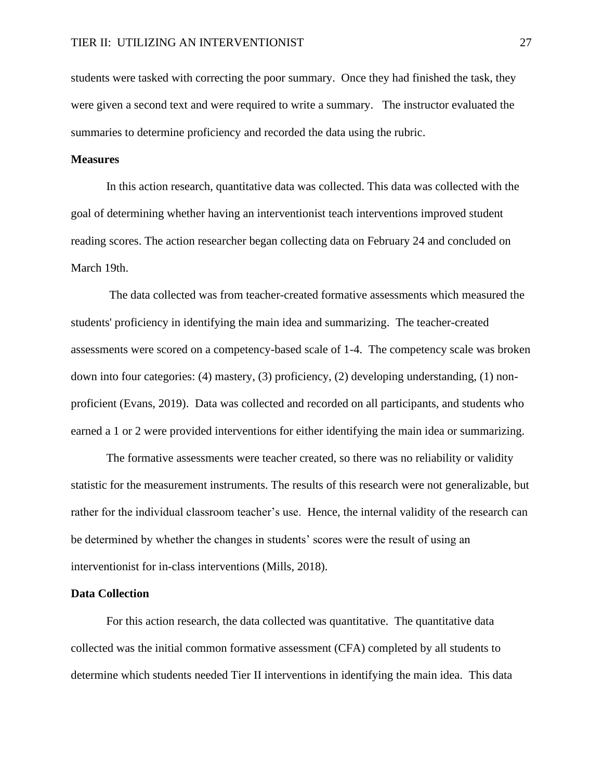students were tasked with correcting the poor summary. Once they had finished the task, they were given a second text and were required to write a summary. The instructor evaluated the summaries to determine proficiency and recorded the data using the rubric.

## **Measures**

In this action research, quantitative data was collected. This data was collected with the goal of determining whether having an interventionist teach interventions improved student reading scores. The action researcher began collecting data on February 24 and concluded on March 19th.

The data collected was from teacher-created formative assessments which measured the students' proficiency in identifying the main idea and summarizing. The teacher-created assessments were scored on a competency-based scale of 1-4. The competency scale was broken down into four categories: (4) mastery, (3) proficiency, (2) developing understanding, (1) nonproficient (Evans, 2019). Data was collected and recorded on all participants, and students who earned a 1 or 2 were provided interventions for either identifying the main idea or summarizing.

The formative assessments were teacher created, so there was no reliability or validity statistic for the measurement instruments. The results of this research were not generalizable, but rather for the individual classroom teacher's use. Hence, the internal validity of the research can be determined by whether the changes in students' scores were the result of using an interventionist for in-class interventions (Mills, 2018).

## **Data Collection**

For this action research, the data collected was quantitative. The quantitative data collected was the initial common formative assessment (CFA) completed by all students to determine which students needed Tier II interventions in identifying the main idea. This data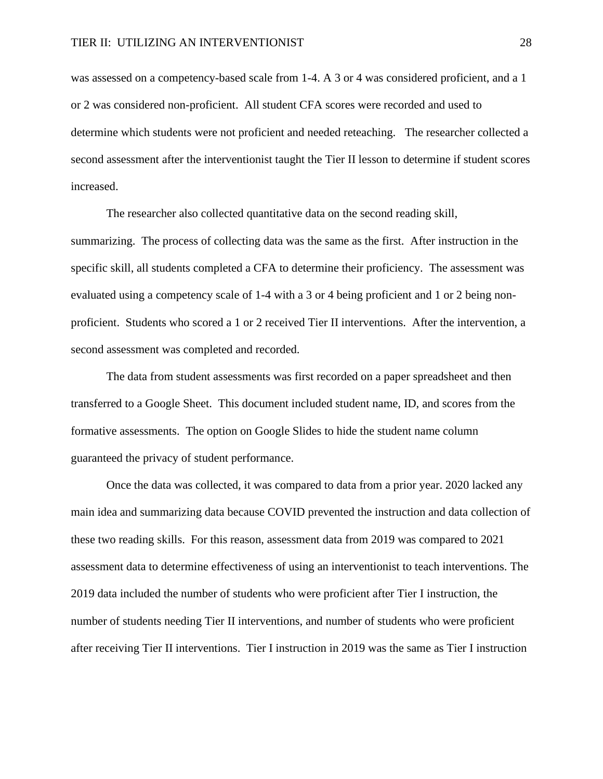was assessed on a competency-based scale from 1-4. A 3 or 4 was considered proficient, and a 1 or 2 was considered non-proficient. All student CFA scores were recorded and used to determine which students were not proficient and needed reteaching. The researcher collected a second assessment after the interventionist taught the Tier II lesson to determine if student scores increased.

The researcher also collected quantitative data on the second reading skill, summarizing. The process of collecting data was the same as the first. After instruction in the specific skill, all students completed a CFA to determine their proficiency. The assessment was evaluated using a competency scale of 1-4 with a 3 or 4 being proficient and 1 or 2 being nonproficient. Students who scored a 1 or 2 received Tier II interventions. After the intervention, a second assessment was completed and recorded.

The data from student assessments was first recorded on a paper spreadsheet and then transferred to a Google Sheet. This document included student name, ID, and scores from the formative assessments. The option on Google Slides to hide the student name column guaranteed the privacy of student performance.

Once the data was collected, it was compared to data from a prior year. 2020 lacked any main idea and summarizing data because COVID prevented the instruction and data collection of these two reading skills. For this reason, assessment data from 2019 was compared to 2021 assessment data to determine effectiveness of using an interventionist to teach interventions. The 2019 data included the number of students who were proficient after Tier I instruction, the number of students needing Tier II interventions, and number of students who were proficient after receiving Tier II interventions. Tier I instruction in 2019 was the same as Tier I instruction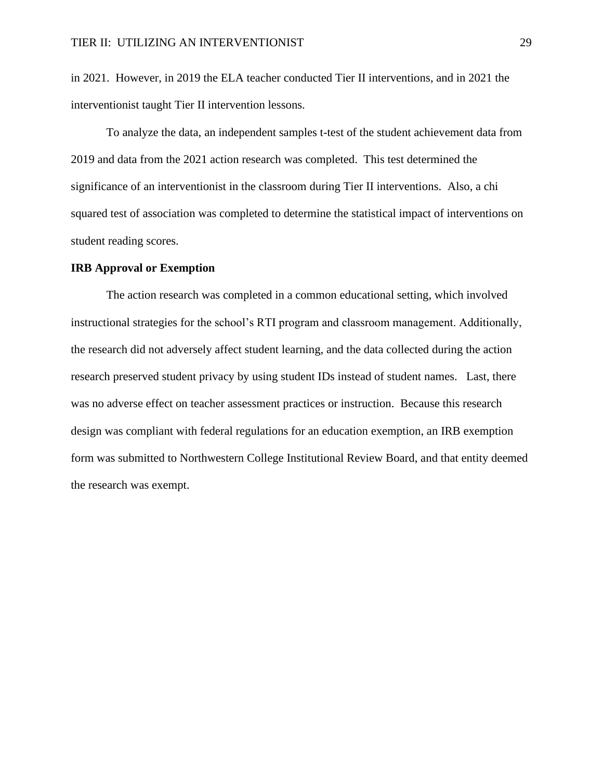in 2021. However, in 2019 the ELA teacher conducted Tier II interventions, and in 2021 the interventionist taught Tier II intervention lessons.

To analyze the data, an independent samples t-test of the student achievement data from 2019 and data from the 2021 action research was completed. This test determined the significance of an interventionist in the classroom during Tier II interventions. Also, a chi squared test of association was completed to determine the statistical impact of interventions on student reading scores.

## **IRB Approval or Exemption**

The action research was completed in a common educational setting, which involved instructional strategies for the school's RTI program and classroom management. Additionally, the research did not adversely affect student learning, and the data collected during the action research preserved student privacy by using student IDs instead of student names. Last, there was no adverse effect on teacher assessment practices or instruction. Because this research design was compliant with federal regulations for an education exemption, an IRB exemption form was submitted to Northwestern College Institutional Review Board, and that entity deemed the research was exempt.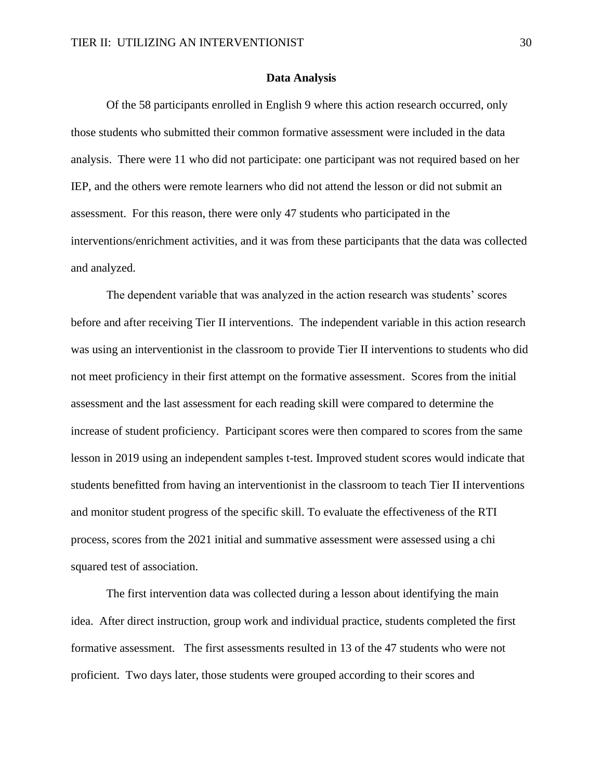## **Data Analysis**

Of the 58 participants enrolled in English 9 where this action research occurred, only those students who submitted their common formative assessment were included in the data analysis. There were 11 who did not participate: one participant was not required based on her IEP, and the others were remote learners who did not attend the lesson or did not submit an assessment. For this reason, there were only 47 students who participated in the interventions/enrichment activities, and it was from these participants that the data was collected and analyzed.

The dependent variable that was analyzed in the action research was students' scores before and after receiving Tier II interventions. The independent variable in this action research was using an interventionist in the classroom to provide Tier II interventions to students who did not meet proficiency in their first attempt on the formative assessment. Scores from the initial assessment and the last assessment for each reading skill were compared to determine the increase of student proficiency. Participant scores were then compared to scores from the same lesson in 2019 using an independent samples t-test. Improved student scores would indicate that students benefitted from having an interventionist in the classroom to teach Tier II interventions and monitor student progress of the specific skill. To evaluate the effectiveness of the RTI process, scores from the 2021 initial and summative assessment were assessed using a chi squared test of association.

The first intervention data was collected during a lesson about identifying the main idea. After direct instruction, group work and individual practice, students completed the first formative assessment. The first assessments resulted in 13 of the 47 students who were not proficient. Two days later, those students were grouped according to their scores and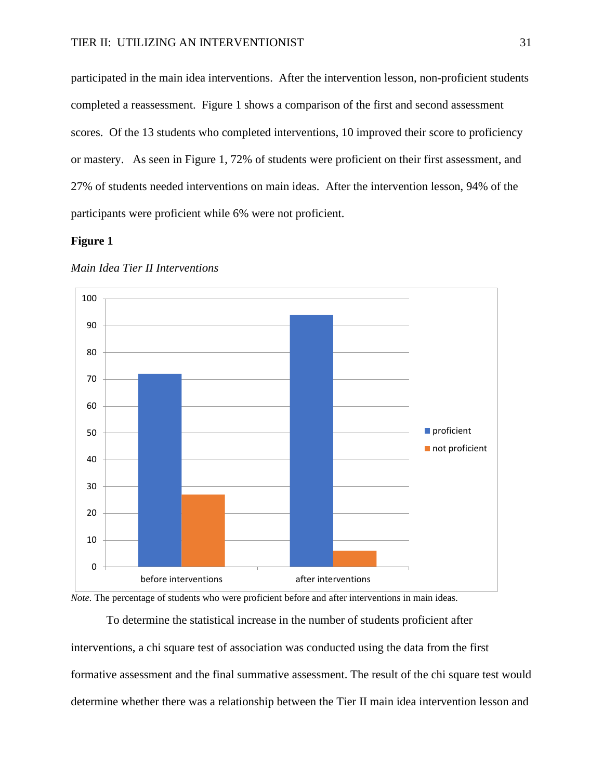participated in the main idea interventions. After the intervention lesson, non-proficient students completed a reassessment. Figure 1 shows a comparison of the first and second assessment scores. Of the 13 students who completed interventions, 10 improved their score to proficiency or mastery. As seen in Figure 1, 72% of students were proficient on their first assessment, and 27% of students needed interventions on main ideas. After the intervention lesson, 94% of the participants were proficient while 6% were not proficient.

## **Figure 1**



#### *Main Idea Tier II Interventions*

*Note.* The percentage of students who were proficient before and after interventions in main ideas.

To determine the statistical increase in the number of students proficient after interventions, a chi square test of association was conducted using the data from the first formative assessment and the final summative assessment. The result of the chi square test would determine whether there was a relationship between the Tier II main idea intervention lesson and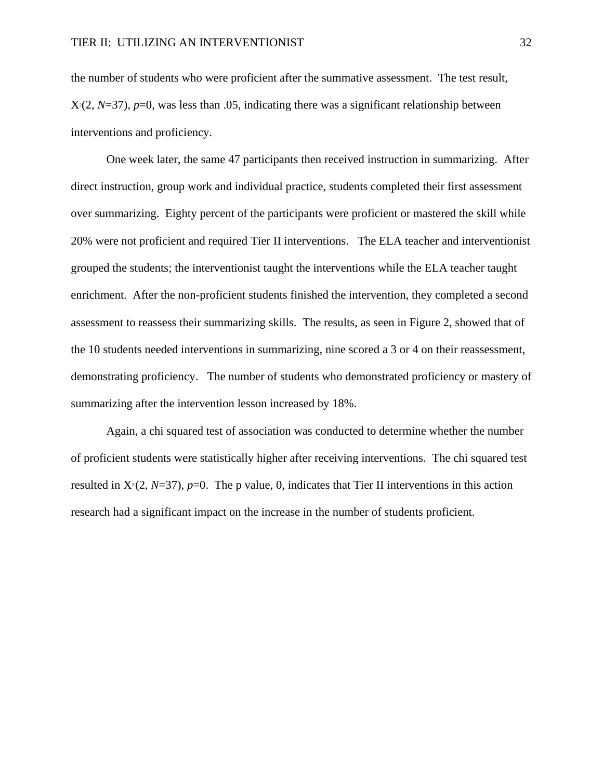the number of students who were proficient after the summative assessment. The test result,  $X(2, N=37)$ , *p*=0, was less than .05, indicating there was a significant relationship between interventions and proficiency.

One week later, the same 47 participants then received instruction in summarizing. After direct instruction, group work and individual practice, students completed their first assessment over summarizing. Eighty percent of the participants were proficient or mastered the skill while 20% were not proficient and required Tier II interventions. The ELA teacher and interventionist grouped the students; the interventionist taught the interventions while the ELA teacher taught enrichment. After the non-proficient students finished the intervention, they completed a second assessment to reassess their summarizing skills. The results, as seen in Figure 2, showed that of the 10 students needed interventions in summarizing, nine scored a 3 or 4 on their reassessment, demonstrating proficiency. The number of students who demonstrated proficiency or mastery of summarizing after the intervention lesson increased by 18%.

Again, a chi squared test of association was conducted to determine whether the number of proficient students were statistically higher after receiving interventions. The chi squared test resulted in  $X<sup>2</sup>(2, N=37)$ , *p*=0. The p value, 0, indicates that Tier II interventions in this action research had a significant impact on the increase in the number of students proficient.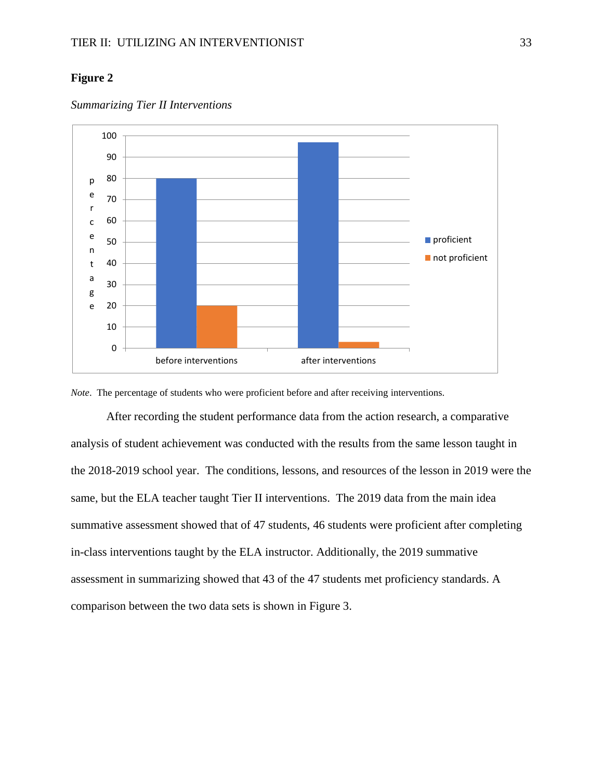## **Figure 2**



*Summarizing Tier II Interventions*

*Note*. The percentage of students who were proficient before and after receiving interventions.

After recording the student performance data from the action research, a comparative analysis of student achievement was conducted with the results from the same lesson taught in the 2018-2019 school year. The conditions, lessons, and resources of the lesson in 2019 were the same, but the ELA teacher taught Tier II interventions. The 2019 data from the main idea summative assessment showed that of 47 students, 46 students were proficient after completing in-class interventions taught by the ELA instructor. Additionally, the 2019 summative assessment in summarizing showed that 43 of the 47 students met proficiency standards. A comparison between the two data sets is shown in Figure 3.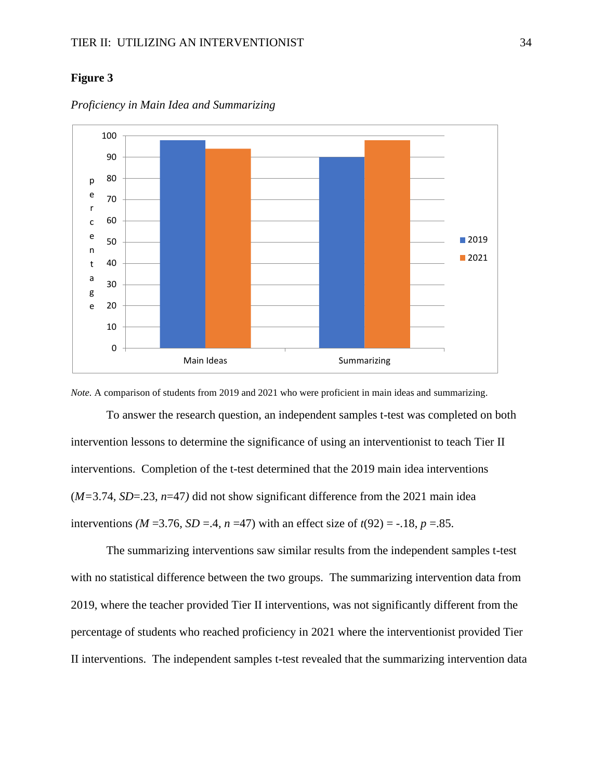## **Figure 3**



*Proficiency in Main Idea and Summarizing* 

*Note.* A comparison of students from 2019 and 2021 who were proficient in main ideas and summarizing.

To answer the research question, an independent samples t-test was completed on both intervention lessons to determine the significance of using an interventionist to teach Tier II interventions. Completion of the t-test determined that the 2019 main idea interventions (*M=*3.74*, SD*=.23, *n*=47*)* did not show significant difference from the 2021 main idea interventions *(M* = 3.76*, SD* = 4*, n* = 47) with an effect size of  $t(92) = -18$ , *p* = .85.

The summarizing interventions saw similar results from the independent samples t-test with no statistical difference between the two groups. The summarizing intervention data from 2019, where the teacher provided Tier II interventions, was not significantly different from the percentage of students who reached proficiency in 2021 where the interventionist provided Tier II interventions. The independent samples t-test revealed that the summarizing intervention data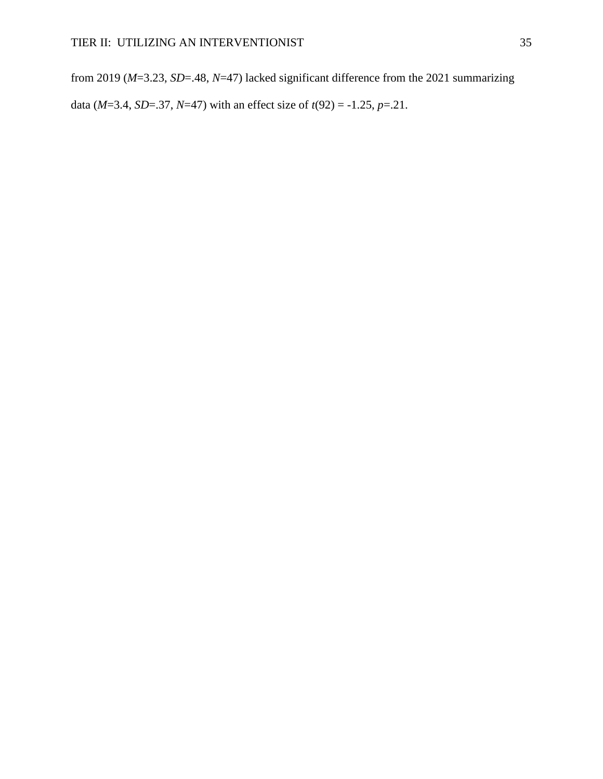from 2019 (*M*=3.23, *SD*=.48, *N*=47) lacked significant difference from the 2021 summarizing data (*M*=3.4, *SD*=.37, *N*=47) with an effect size of *t*(92) = -1.25, *p*=.21.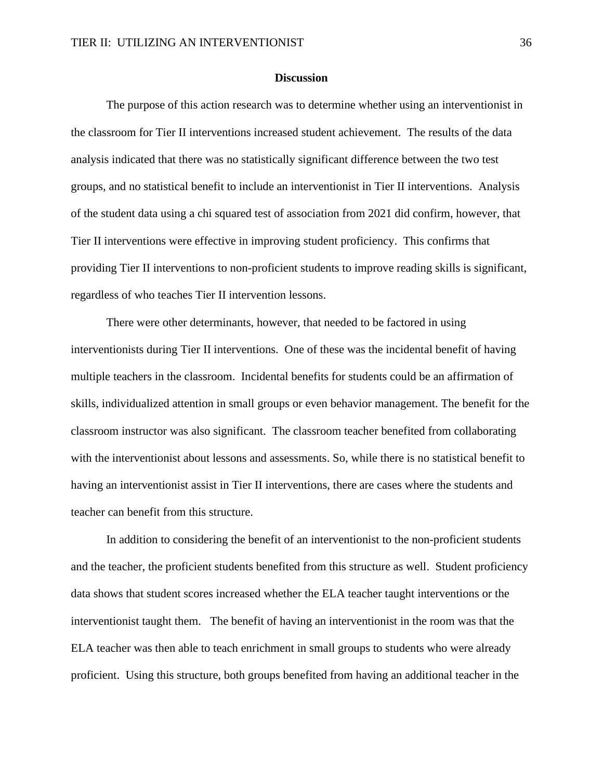#### **Discussion**

The purpose of this action research was to determine whether using an interventionist in the classroom for Tier II interventions increased student achievement. The results of the data analysis indicated that there was no statistically significant difference between the two test groups, and no statistical benefit to include an interventionist in Tier II interventions. Analysis of the student data using a chi squared test of association from 2021 did confirm, however, that Tier II interventions were effective in improving student proficiency. This confirms that providing Tier II interventions to non-proficient students to improve reading skills is significant, regardless of who teaches Tier II intervention lessons.

There were other determinants, however, that needed to be factored in using interventionists during Tier II interventions. One of these was the incidental benefit of having multiple teachers in the classroom. Incidental benefits for students could be an affirmation of skills, individualized attention in small groups or even behavior management. The benefit for the classroom instructor was also significant. The classroom teacher benefited from collaborating with the interventionist about lessons and assessments. So, while there is no statistical benefit to having an interventionist assist in Tier II interventions, there are cases where the students and teacher can benefit from this structure.

In addition to considering the benefit of an interventionist to the non-proficient students and the teacher, the proficient students benefited from this structure as well. Student proficiency data shows that student scores increased whether the ELA teacher taught interventions or the interventionist taught them. The benefit of having an interventionist in the room was that the ELA teacher was then able to teach enrichment in small groups to students who were already proficient. Using this structure, both groups benefited from having an additional teacher in the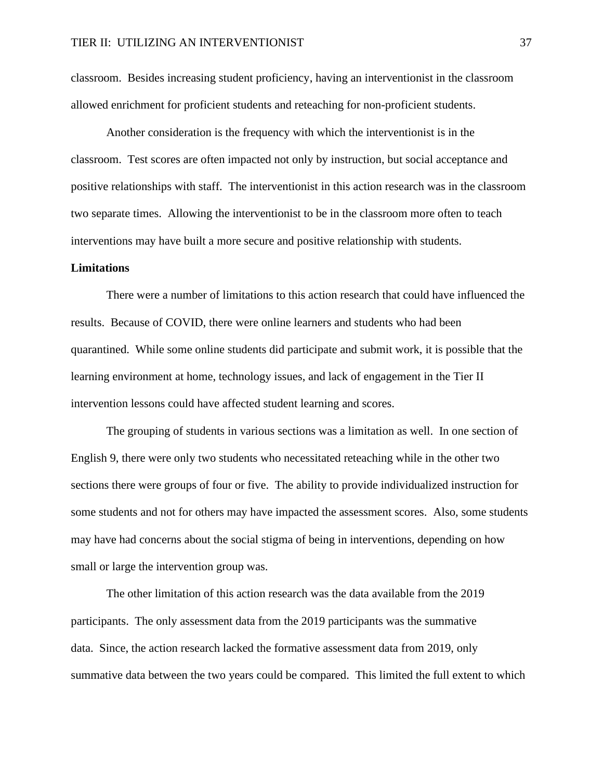classroom. Besides increasing student proficiency, having an interventionist in the classroom allowed enrichment for proficient students and reteaching for non-proficient students.

Another consideration is the frequency with which the interventionist is in the classroom. Test scores are often impacted not only by instruction, but social acceptance and positive relationships with staff. The interventionist in this action research was in the classroom two separate times. Allowing the interventionist to be in the classroom more often to teach interventions may have built a more secure and positive relationship with students.

#### **Limitations**

There were a number of limitations to this action research that could have influenced the results. Because of COVID, there were online learners and students who had been quarantined. While some online students did participate and submit work, it is possible that the learning environment at home, technology issues, and lack of engagement in the Tier II intervention lessons could have affected student learning and scores.

The grouping of students in various sections was a limitation as well. In one section of English 9, there were only two students who necessitated reteaching while in the other two sections there were groups of four or five. The ability to provide individualized instruction for some students and not for others may have impacted the assessment scores. Also, some students may have had concerns about the social stigma of being in interventions, depending on how small or large the intervention group was.

The other limitation of this action research was the data available from the 2019 participants. The only assessment data from the 2019 participants was the summative data. Since, the action research lacked the formative assessment data from 2019, only summative data between the two years could be compared. This limited the full extent to which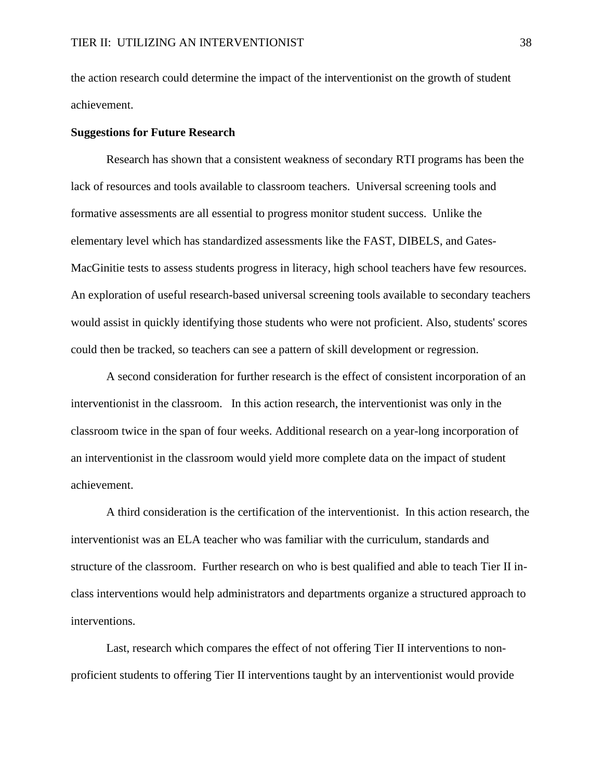the action research could determine the impact of the interventionist on the growth of student achievement.

## **Suggestions for Future Research**

Research has shown that a consistent weakness of secondary RTI programs has been the lack of resources and tools available to classroom teachers. Universal screening tools and formative assessments are all essential to progress monitor student success. Unlike the elementary level which has standardized assessments like the FAST, DIBELS, and Gates-MacGinitie tests to assess students progress in literacy, high school teachers have few resources. An exploration of useful research-based universal screening tools available to secondary teachers would assist in quickly identifying those students who were not proficient. Also, students' scores could then be tracked, so teachers can see a pattern of skill development or regression.

A second consideration for further research is the effect of consistent incorporation of an interventionist in the classroom. In this action research, the interventionist was only in the classroom twice in the span of four weeks. Additional research on a year-long incorporation of an interventionist in the classroom would yield more complete data on the impact of student achievement.

A third consideration is the certification of the interventionist. In this action research, the interventionist was an ELA teacher who was familiar with the curriculum, standards and structure of the classroom. Further research on who is best qualified and able to teach Tier II inclass interventions would help administrators and departments organize a structured approach to interventions.

Last, research which compares the effect of not offering Tier II interventions to nonproficient students to offering Tier II interventions taught by an interventionist would provide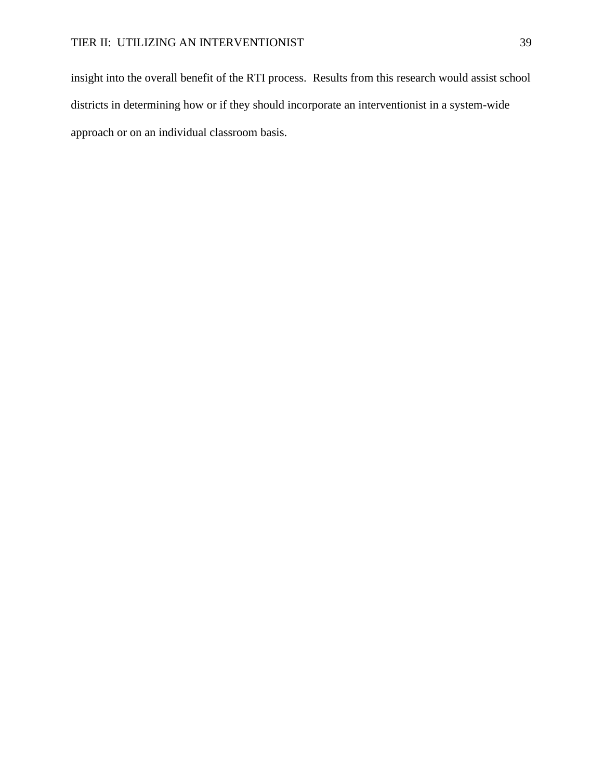insight into the overall benefit of the RTI process. Results from this research would assist school districts in determining how or if they should incorporate an interventionist in a system-wide approach or on an individual classroom basis.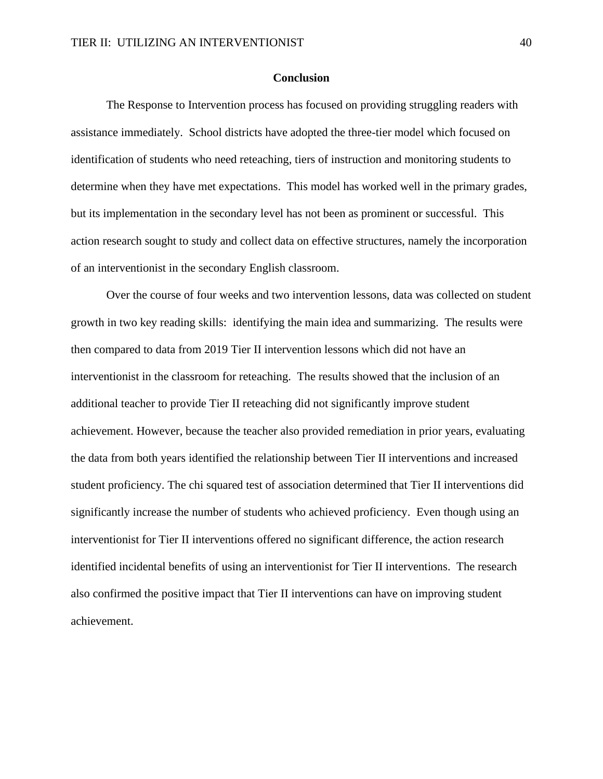#### **Conclusion**

The Response to Intervention process has focused on providing struggling readers with assistance immediately. School districts have adopted the three-tier model which focused on identification of students who need reteaching, tiers of instruction and monitoring students to determine when they have met expectations. This model has worked well in the primary grades, but its implementation in the secondary level has not been as prominent or successful. This action research sought to study and collect data on effective structures, namely the incorporation of an interventionist in the secondary English classroom.

Over the course of four weeks and two intervention lessons, data was collected on student growth in two key reading skills: identifying the main idea and summarizing. The results were then compared to data from 2019 Tier II intervention lessons which did not have an interventionist in the classroom for reteaching. The results showed that the inclusion of an additional teacher to provide Tier II reteaching did not significantly improve student achievement. However, because the teacher also provided remediation in prior years, evaluating the data from both years identified the relationship between Tier II interventions and increased student proficiency. The chi squared test of association determined that Tier II interventions did significantly increase the number of students who achieved proficiency. Even though using an interventionist for Tier II interventions offered no significant difference, the action research identified incidental benefits of using an interventionist for Tier II interventions. The research also confirmed the positive impact that Tier II interventions can have on improving student achievement.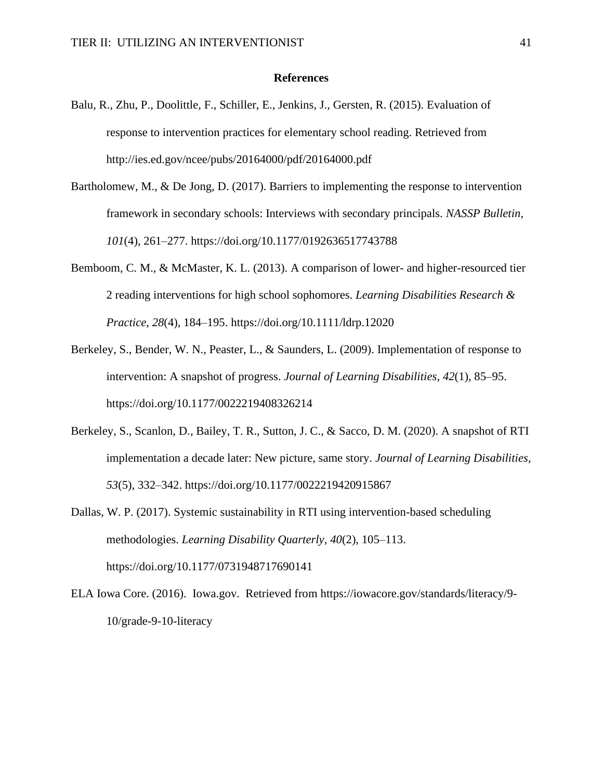#### **References**

- Balu, R., Zhu, P., Doolittle, F., Schiller, E., Jenkins, J., Gersten, R. (2015). Evaluation of response to intervention practices for elementary school reading. Retrieved from <http://ies.ed.gov/ncee/pubs/20164000/pdf/20164000.pdf>
- Bartholomew, M., & De Jong, D. (2017). Barriers to implementing the response to intervention framework in secondary schools: Interviews with secondary principals. *NASSP Bulletin*, *101*(4), 261–277. https://doi.org[/10.1177/0192636517743788](https://doi-org.ezproxy.nwciowa.edu/10.1177/0192636517743788)
- Bemboom, C. M., & McMaster, K. L. (2013). A comparison of lower- and higher-resourced tier 2 reading interventions for high school sophomores. *Learning Disabilities Research & Practice*, *28*(4), 184–195.<https://doi.org/10.1111/ldrp.12020>
- Berkeley, S., Bender, W. N., Peaster, L., & Saunders, L. (2009). Implementation of response to intervention: A snapshot of progress. *Journal of Learning Disabilities*, *42*(1), 85–95. <https://doi.org/10.1177/0022219408326214>
- Berkeley, S., Scanlon, D., Bailey, T. R., Sutton, J. C., & Sacco, D. M. (2020). A snapshot of RTI implementation a decade later: New picture, same story. *Journal of Learning Disabilities*, *53*(5), 332–342.<https://doi.org/10.1177/0022219420915867>
- Dallas, W. P. (2017). Systemic sustainability in RTI using intervention-based scheduling methodologies. *Learning Disability Quarterly*, *40*(2), 105–113. https://doi.org[/10.1177/0731948717690141](https://doi-org.ezproxy.nwciowa.edu/10.1177/0731948717690141)
- ELA Iowa Core. (2016). Iowa.gov. Retrieved from https://iowacore.gov/standards/literacy/9- 10/grade-9-10-literacy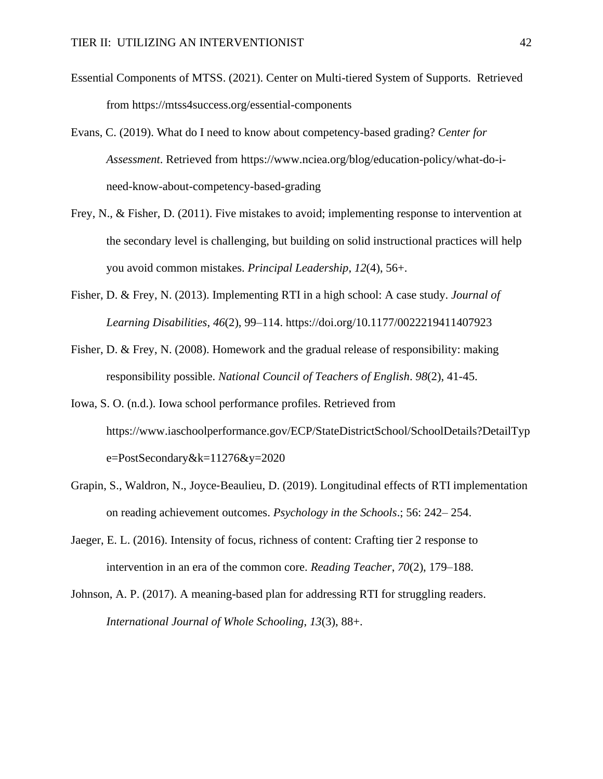- Essential Components of MTSS. (2021). Center on Multi-tiered System of Supports. Retrieved from https://mtss4success.org/essential-components
- Evans, C. (2019). What do I need to know about competency-based grading? *Center for Assessment*. Retrieved from [https://www.nciea.org/blog/education-policy/what-do-i](https://www.nciea.org/blog/education-policy/what-do-i-need-know-about-competency-based-grading)[need-know-about-competency-based-grading](https://www.nciea.org/blog/education-policy/what-do-i-need-know-about-competency-based-grading)
- Frey, N., & Fisher, D. (2011). Five mistakes to avoid; implementing response to intervention at the secondary level is challenging, but building on solid instructional practices will help you avoid common mistakes. *Principal Leadership*, *12*(4), 56+.
- Fisher, D. & Frey, N. (2013). Implementing RTI in a high school: A case study. *Journal of Learning Disabilities*, *46*(2), 99–114. https://doi.org[/10.1177/0022219411407923](https://doi-org.ezproxy.nwciowa.edu/10.1177/0022219411407923)
- Fisher, D. & Frey, N. (2008). Homework and the gradual release of responsibility: making responsibility possible. *National Council of Teachers of English*. *98*(2), 41-45.
- Iowa, S. O. (n.d.). Iowa school performance profiles. Retrieved from [https://www.iaschoolperformance.gov/ECP/StateDistrictSchool/SchoolDetails?DetailTyp](https://www.iaschoolperformance.gov/ECP/StateDistrictSchool/SchoolDetails?DetailType=PostSecondary&k=11276&y=2020) [e=PostSecondary&k=11276&y=2020](https://www.iaschoolperformance.gov/ECP/StateDistrictSchool/SchoolDetails?DetailType=PostSecondary&k=11276&y=2020)
- Grapin, S., Waldron, N., Joyce‐Beaulieu, D. (2019). Longitudinal effects of RTI implementation on reading achievement outcomes. *Psychology in the Schools*.; 56: 242– 254.
- Jaeger, E. L. (2016). Intensity of focus, richness of content: Crafting tier 2 response to intervention in an era of the common core. *Reading Teacher*, *70*(2), 179–188.
- Johnson, A. P. (2017). A meaning-based plan for addressing RTI for struggling readers. *International Journal of Whole Schooling*, *13*(3), 88+.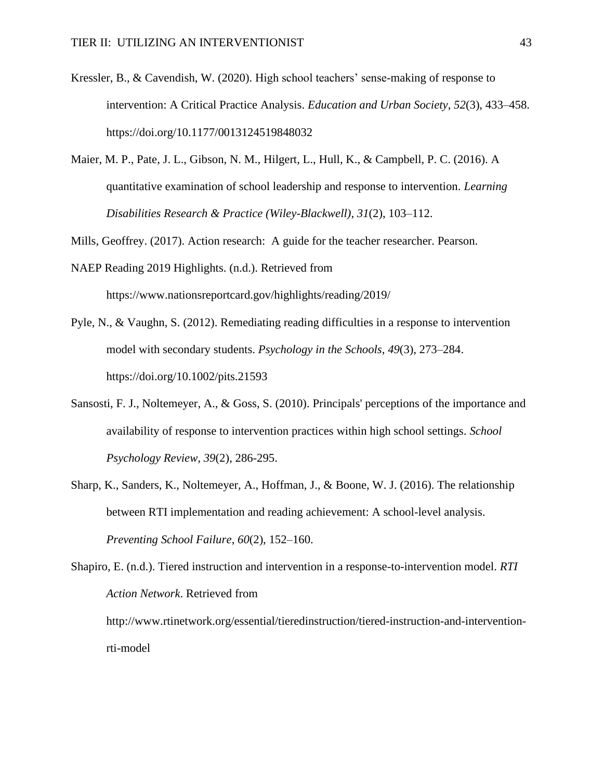- Kressler, B., & Cavendish, W. (2020). High school teachers' sense-making of response to intervention: A Critical Practice Analysis. *Education and Urban Society*, *52*(3), 433–458. https://doi.org[/10.1177/0013124519848032](https://doi-org.ezproxy.nwciowa.edu/10.1177/0013124519848032)
- Maier, M. P., Pate, J. L., Gibson, N. M., Hilgert, L., Hull, K., & Campbell, P. C. (2016). A quantitative examination of school leadership and response to intervention. *Learning Disabilities Research & Practice (Wiley-Blackwell)*, *31*(2), 103–112.

Mills, Geoffrey. (2017). Action research: A guide for the teacher researcher. Pearson.

- NAEP Reading 2019 Highlights. (n.d.). Retrieved from https://www.nationsreportcard.gov/highlights/reading/2019/
- Pyle, N., & Vaughn, S. (2012). Remediating reading difficulties in a response to intervention model with secondary students. *Psychology in the Schools*, *49*(3), 273–284. <https://doi.org/10.1002/pits.21593>
- Sansosti, F. J., Noltemeyer, A., & Goss, S. (2010). Principals' perceptions of the importance and availability of response to intervention practices within high school settings. *School Psychology Review, 39*(2), 286-295.
- Sharp, K., Sanders, K., Noltemeyer, A., Hoffman, J., & Boone, W. J. (2016). The relationship between RTI implementation and reading achievement: A school-level analysis. *Preventing School Failure*, *60*(2), 152–160.

Shapiro, E. (n.d.). Tiered instruction and intervention in a response-to-intervention model. *RTI Action Network*. Retrieved from [http://www.rtinetwork.org/essential/tieredinstruction/tiered-instruction-and-intervention](http://www.rtinetwork.org/essential/tieredinstruction/tiered-instruction-and-intervention-rti-model)[rti-model](http://www.rtinetwork.org/essential/tieredinstruction/tiered-instruction-and-intervention-rti-model)